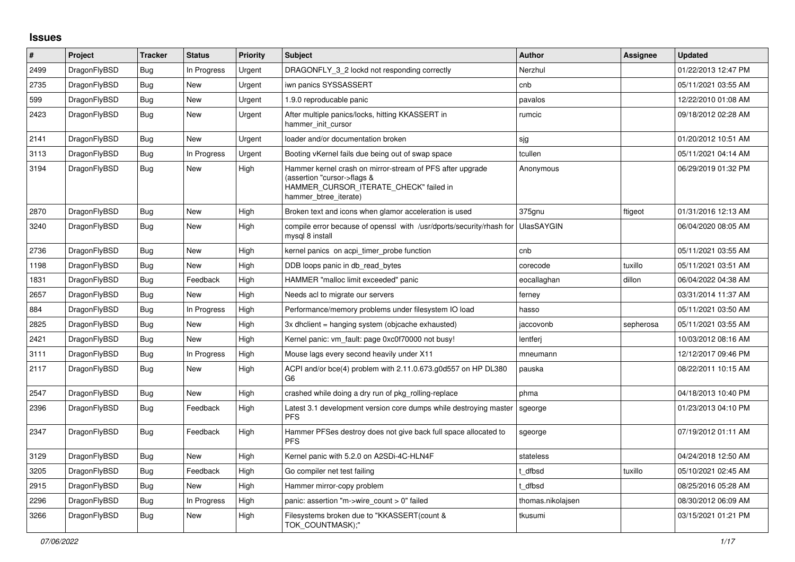## **Issues**

| #    | Project      | <b>Tracker</b> | <b>Status</b> | <b>Priority</b> | <b>Subject</b>                                                                                                                                              | <b>Author</b>     | Assignee  | <b>Updated</b>      |
|------|--------------|----------------|---------------|-----------------|-------------------------------------------------------------------------------------------------------------------------------------------------------------|-------------------|-----------|---------------------|
| 2499 | DragonFlyBSD | <b>Bug</b>     | In Progress   | Urgent          | DRAGONFLY_3_2 lockd not responding correctly                                                                                                                | Nerzhul           |           | 01/22/2013 12:47 PM |
| 2735 | DragonFlyBSD | <b>Bug</b>     | <b>New</b>    | Urgent          | iwn panics SYSSASSERT                                                                                                                                       | cnb               |           | 05/11/2021 03:55 AM |
| 599  | DragonFlyBSD | <b>Bug</b>     | New           | Urgent          | 1.9.0 reproducable panic                                                                                                                                    | pavalos           |           | 12/22/2010 01:08 AM |
| 2423 | DragonFlyBSD | <b>Bug</b>     | <b>New</b>    | Urgent          | After multiple panics/locks, hitting KKASSERT in<br>hammer_init_cursor                                                                                      | rumcic            |           | 09/18/2012 02:28 AM |
| 2141 | DragonFlyBSD | Bug            | New           | Urgent          | loader and/or documentation broken                                                                                                                          | sjg               |           | 01/20/2012 10:51 AM |
| 3113 | DragonFlyBSD | Bug            | In Progress   | Urgent          | Booting vKernel fails due being out of swap space                                                                                                           | tcullen           |           | 05/11/2021 04:14 AM |
| 3194 | DragonFlyBSD | <b>Bug</b>     | New           | High            | Hammer kernel crash on mirror-stream of PFS after upgrade<br>(assertion "cursor->flags &<br>HAMMER_CURSOR_ITERATE_CHECK" failed in<br>hammer_btree_iterate) | Anonymous         |           | 06/29/2019 01:32 PM |
| 2870 | DragonFlyBSD | <b>Bug</b>     | New           | High            | Broken text and icons when glamor acceleration is used                                                                                                      | 375gnu            | ftigeot   | 01/31/2016 12:13 AM |
| 3240 | DragonFlyBSD | <b>Bug</b>     | New           | High            | compile error because of openssl with /usr/dports/security/rhash for<br>mysql 8 install                                                                     | <b>UlasSAYGIN</b> |           | 06/04/2020 08:05 AM |
| 2736 | DragonFlyBSD | <b>Bug</b>     | New           | High            | kernel panics on acpi timer probe function                                                                                                                  | cnb               |           | 05/11/2021 03:55 AM |
| 1198 | DragonFlyBSD | Bug            | New           | High            | DDB loops panic in db read bytes                                                                                                                            | corecode          | tuxillo   | 05/11/2021 03:51 AM |
| 1831 | DragonFlyBSD | Bug            | Feedback      | High            | HAMMER "malloc limit exceeded" panic                                                                                                                        | eocallaghan       | dillon    | 06/04/2022 04:38 AM |
| 2657 | DragonFlyBSD | Bug            | <b>New</b>    | High            | Needs acl to migrate our servers                                                                                                                            | ferney            |           | 03/31/2014 11:37 AM |
| 884  | DragonFlyBSD | Bug            | In Progress   | High            | Performance/memory problems under filesystem IO load                                                                                                        | hasso             |           | 05/11/2021 03:50 AM |
| 2825 | DragonFlyBSD | Bug            | New           | High            | 3x dhclient = hanging system (objcache exhausted)                                                                                                           | jaccovonb         | sepherosa | 05/11/2021 03:55 AM |
| 2421 | DragonFlyBSD | Bug            | New           | High            | Kernel panic: vm fault: page 0xc0f70000 not busy!                                                                                                           | lentferj          |           | 10/03/2012 08:16 AM |
| 3111 | DragonFlyBSD | Bug            | In Progress   | High            | Mouse lags every second heavily under X11                                                                                                                   | mneumann          |           | 12/12/2017 09:46 PM |
| 2117 | DragonFlyBSD | Bug            | New           | High            | ACPI and/or bce(4) problem with 2.11.0.673.g0d557 on HP DL380<br>G <sub>6</sub>                                                                             | pauska            |           | 08/22/2011 10:15 AM |
| 2547 | DragonFlyBSD | <b>Bug</b>     | <b>New</b>    | High            | crashed while doing a dry run of pkg rolling-replace                                                                                                        | phma              |           | 04/18/2013 10:40 PM |
| 2396 | DragonFlyBSD | Bug            | Feedback      | High            | Latest 3.1 development version core dumps while destroying master<br><b>PFS</b>                                                                             | sgeorge           |           | 01/23/2013 04:10 PM |
| 2347 | DragonFlyBSD | <b>Bug</b>     | Feedback      | High            | Hammer PFSes destroy does not give back full space allocated to<br><b>PFS</b>                                                                               | sgeorge           |           | 07/19/2012 01:11 AM |
| 3129 | DragonFlyBSD | <b>Bug</b>     | New           | High            | Kernel panic with 5.2.0 on A2SDi-4C-HLN4F                                                                                                                   | stateless         |           | 04/24/2018 12:50 AM |
| 3205 | DragonFlyBSD | <b>Bug</b>     | Feedback      | High            | Go compiler net test failing                                                                                                                                | t dfbsd           | tuxillo   | 05/10/2021 02:45 AM |
| 2915 | DragonFlyBSD | <b>Bug</b>     | New           | High            | Hammer mirror-copy problem                                                                                                                                  | t dfbsd           |           | 08/25/2016 05:28 AM |
| 2296 | DragonFlyBSD | <b>Bug</b>     | In Progress   | High            | panic: assertion "m->wire_count > 0" failed                                                                                                                 | thomas.nikolajsen |           | 08/30/2012 06:09 AM |
| 3266 | DragonFlyBSD | <b>Bug</b>     | New           | High            | Filesystems broken due to "KKASSERT(count &<br>TOK COUNTMASK);"                                                                                             | tkusumi           |           | 03/15/2021 01:21 PM |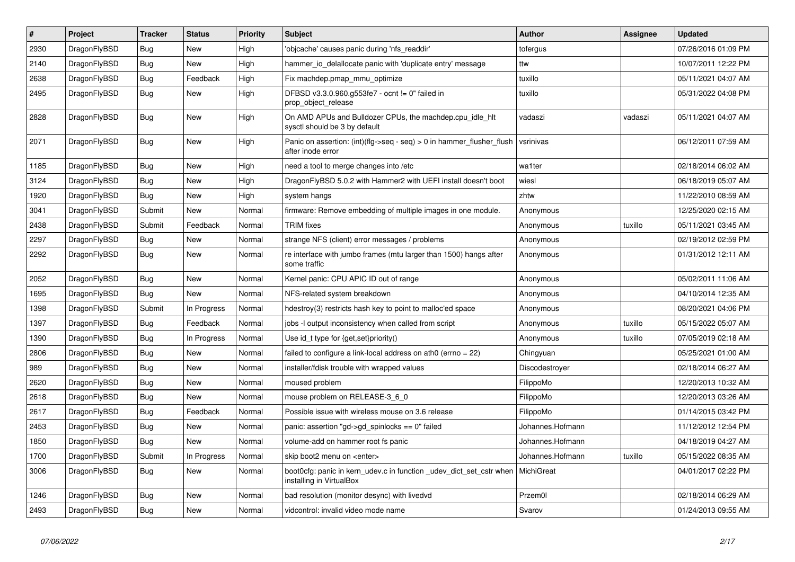| $\vert$ # | Project      | <b>Tracker</b> | <b>Status</b> | <b>Priority</b> | <b>Subject</b>                                                                                 | <b>Author</b>    | Assignee | Updated             |
|-----------|--------------|----------------|---------------|-----------------|------------------------------------------------------------------------------------------------|------------------|----------|---------------------|
| 2930      | DragonFlyBSD | Bug            | New           | High            | 'objcache' causes panic during 'nfs readdir'                                                   | tofergus         |          | 07/26/2016 01:09 PM |
| 2140      | DragonFlyBSD | <b>Bug</b>     | <b>New</b>    | High            | hammer io delallocate panic with 'duplicate entry' message                                     | ttw              |          | 10/07/2011 12:22 PM |
| 2638      | DragonFlyBSD | <b>Bug</b>     | Feedback      | High            | Fix machdep.pmap mmu optimize                                                                  | tuxillo          |          | 05/11/2021 04:07 AM |
| 2495      | DragonFlyBSD | Bug            | New           | High            | DFBSD v3.3.0.960.g553fe7 - ocnt != 0" failed in<br>prop_object_release                         | tuxillo          |          | 05/31/2022 04:08 PM |
| 2828      | DragonFlyBSD | <b>Bug</b>     | New           | High            | On AMD APUs and Bulldozer CPUs, the machdep.cpu_idle_hlt<br>sysctl should be 3 by default      | vadaszi          | vadaszi  | 05/11/2021 04:07 AM |
| 2071      | DragonFlyBSD | <b>Bug</b>     | <b>New</b>    | High            | Panic on assertion: $(int)(flag->seq - seq) > 0$ in hammer flusher flush<br>after inode error  | vsrinivas        |          | 06/12/2011 07:59 AM |
| 1185      | DragonFlyBSD | <b>Bug</b>     | New           | High            | need a tool to merge changes into /etc                                                         | wa1ter           |          | 02/18/2014 06:02 AM |
| 3124      | DragonFlyBSD | <b>Bug</b>     | <b>New</b>    | High            | DragonFlyBSD 5.0.2 with Hammer2 with UEFI install doesn't boot                                 | wiesl            |          | 06/18/2019 05:07 AM |
| 1920      | DragonFlyBSD | <b>Bug</b>     | <b>New</b>    | High            | system hangs                                                                                   | zhtw             |          | 11/22/2010 08:59 AM |
| 3041      | DragonFlyBSD | Submit         | New           | Normal          | firmware: Remove embedding of multiple images in one module.                                   | Anonymous        |          | 12/25/2020 02:15 AM |
| 2438      | DragonFlyBSD | Submit         | Feedback      | Normal          | <b>TRIM</b> fixes                                                                              | Anonymous        | tuxillo  | 05/11/2021 03:45 AM |
| 2297      | DragonFlyBSD | <b>Bug</b>     | <b>New</b>    | Normal          | strange NFS (client) error messages / problems                                                 | Anonymous        |          | 02/19/2012 02:59 PM |
| 2292      | DragonFlyBSD | Bug            | <b>New</b>    | Normal          | re interface with jumbo frames (mtu larger than 1500) hangs after<br>some traffic              | Anonymous        |          | 01/31/2012 12:11 AM |
| 2052      | DragonFlyBSD | <b>Bug</b>     | New           | Normal          | Kernel panic: CPU APIC ID out of range                                                         | Anonymous        |          | 05/02/2011 11:06 AM |
| 1695      | DragonFlyBSD | <b>Bug</b>     | <b>New</b>    | Normal          | NFS-related system breakdown                                                                   | Anonymous        |          | 04/10/2014 12:35 AM |
| 1398      | DragonFlyBSD | Submit         | In Progress   | Normal          | hdestroy(3) restricts hash key to point to malloc'ed space                                     | Anonymous        |          | 08/20/2021 04:06 PM |
| 1397      | DragonFlyBSD | <b>Bug</b>     | Feedback      | Normal          | jobs -I output inconsistency when called from script                                           | Anonymous        | tuxillo  | 05/15/2022 05:07 AM |
| 1390      | DragonFlyBSD | <b>Bug</b>     | In Progress   | Normal          | Use id_t type for {get,set}priority()                                                          | Anonymous        | tuxillo  | 07/05/2019 02:18 AM |
| 2806      | DragonFlyBSD | Bug            | <b>New</b>    | Normal          | failed to configure a link-local address on ath0 (errno = 22)                                  | Chingyuan        |          | 05/25/2021 01:00 AM |
| 989       | DragonFlyBSD | <b>Bug</b>     | New           | Normal          | installer/fdisk trouble with wrapped values                                                    | Discodestroyer   |          | 02/18/2014 06:27 AM |
| 2620      | DragonFlyBSD | <b>Bug</b>     | New           | Normal          | moused problem                                                                                 | FilippoMo        |          | 12/20/2013 10:32 AM |
| 2618      | DragonFlyBSD | <b>Bug</b>     | <b>New</b>    | Normal          | mouse problem on RELEASE-3 6 0                                                                 | FilippoMo        |          | 12/20/2013 03:26 AM |
| 2617      | DragonFlyBSD | Bug            | Feedback      | Normal          | Possible issue with wireless mouse on 3.6 release                                              | FilippoMo        |          | 01/14/2015 03:42 PM |
| 2453      | DragonFlyBSD | <b>Bug</b>     | <b>New</b>    | Normal          | panic: assertion "gd->gd_spinlocks == 0" failed                                                | Johannes.Hofmann |          | 11/12/2012 12:54 PM |
| 1850      | DragonFlyBSD | <b>Bug</b>     | <b>New</b>    | Normal          | volume-add on hammer root fs panic                                                             | Johannes.Hofmann |          | 04/18/2019 04:27 AM |
| 1700      | DragonFlyBSD | Submit         | In Progress   | Normal          | skip boot2 menu on <enter></enter>                                                             | Johannes.Hofmann | tuxillo  | 05/15/2022 08:35 AM |
| 3006      | DragonFlyBSD | Bug            | New           | Normal          | boot0cfg: panic in kern udev.c in function udev dict set cstr when<br>installing in VirtualBox | MichiGreat       |          | 04/01/2017 02:22 PM |
| 1246      | DragonFlyBSD | <b>Bug</b>     | <b>New</b>    | Normal          | bad resolution (monitor desync) with livedvd                                                   | Przem0l          |          | 02/18/2014 06:29 AM |
| 2493      | DragonFlyBSD | Bug            | <b>New</b>    | Normal          | vidcontrol: invalid video mode name                                                            | Svarov           |          | 01/24/2013 09:55 AM |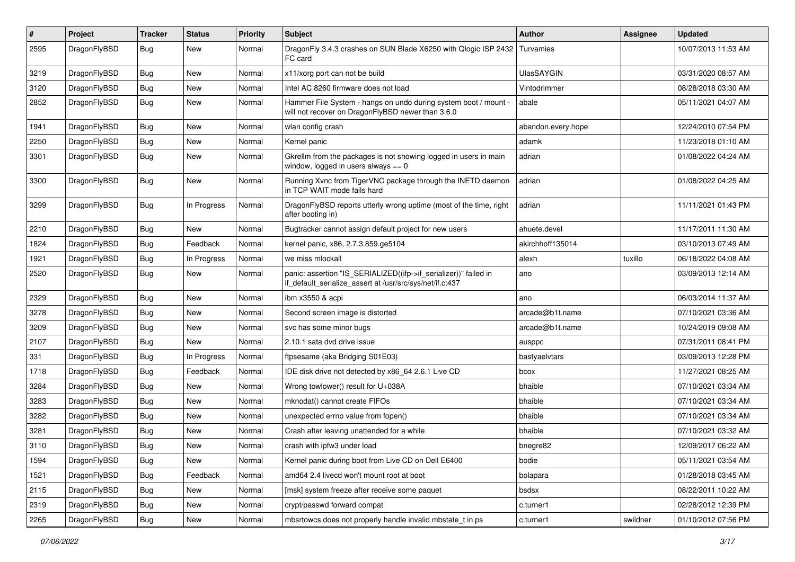| $\pmb{\#}$ | Project      | <b>Tracker</b> | <b>Status</b> | <b>Priority</b> | Subject                                                                                                                      | <b>Author</b>      | <b>Assignee</b> | <b>Updated</b>      |
|------------|--------------|----------------|---------------|-----------------|------------------------------------------------------------------------------------------------------------------------------|--------------------|-----------------|---------------------|
| 2595       | DragonFlyBSD | Bug            | New           | Normal          | DragonFly 3.4.3 crashes on SUN Blade X6250 with Qlogic ISP 2432<br>FC card                                                   | Turvamies          |                 | 10/07/2013 11:53 AM |
| 3219       | DragonFlyBSD | <b>Bug</b>     | <b>New</b>    | Normal          | x11/xorg port can not be build                                                                                               | UlasSAYGIN         |                 | 03/31/2020 08:57 AM |
| 3120       | DragonFlyBSD | Bug            | <b>New</b>    | Normal          | Intel AC 8260 firmware does not load                                                                                         | Vintodrimmer       |                 | 08/28/2018 03:30 AM |
| 2852       | DragonFlyBSD | Bug            | New           | Normal          | Hammer File System - hangs on undo during system boot / mount -<br>will not recover on DragonFlyBSD newer than 3.6.0         | abale              |                 | 05/11/2021 04:07 AM |
| 1941       | DragonFlyBSD | Bug            | <b>New</b>    | Normal          | wlan config crash                                                                                                            | abandon.every.hope |                 | 12/24/2010 07:54 PM |
| 2250       | DragonFlyBSD | Bug            | <b>New</b>    | Normal          | Kernel panic                                                                                                                 | adamk              |                 | 11/23/2018 01:10 AM |
| 3301       | DragonFlyBSD | Bug            | New           | Normal          | Gkrellm from the packages is not showing logged in users in main<br>window, logged in users always $== 0$                    | adrian             |                 | 01/08/2022 04:24 AM |
| 3300       | DragonFlyBSD | Bug            | New           | Normal          | Running Xvnc from TigerVNC package through the INETD daemon<br>in TCP WAIT mode fails hard                                   | adrian             |                 | 01/08/2022 04:25 AM |
| 3299       | DragonFlyBSD | Bug            | In Progress   | Normal          | DragonFlyBSD reports utterly wrong uptime (most of the time, right<br>after booting in)                                      | adrian             |                 | 11/11/2021 01:43 PM |
| 2210       | DragonFlyBSD | Bug            | New           | Normal          | Bugtracker cannot assign default project for new users                                                                       | ahuete.devel       |                 | 11/17/2011 11:30 AM |
| 1824       | DragonFlyBSD | <b>Bug</b>     | Feedback      | Normal          | kernel panic, x86, 2.7.3.859.ge5104                                                                                          | akirchhoff135014   |                 | 03/10/2013 07:49 AM |
| 1921       | DragonFlyBSD | <b>Bug</b>     | In Progress   | Normal          | we miss mlockall                                                                                                             | alexh              | tuxillo         | 06/18/2022 04:08 AM |
| 2520       | DragonFlyBSD | Bug            | New           | Normal          | panic: assertion "IS_SERIALIZED((ifp->if_serializer))" failed in<br>if default serialize assert at /usr/src/sys/net/if.c:437 | ano                |                 | 03/09/2013 12:14 AM |
| 2329       | DragonFlyBSD | Bug            | <b>New</b>    | Normal          | ibm x3550 & acpi                                                                                                             | ano                |                 | 06/03/2014 11:37 AM |
| 3278       | DragonFlyBSD | Bug            | <b>New</b>    | Normal          | Second screen image is distorted                                                                                             | arcade@b1t.name    |                 | 07/10/2021 03:36 AM |
| 3209       | DragonFlyBSD | Bug            | New           | Normal          | svc has some minor bugs                                                                                                      | arcade@b1t.name    |                 | 10/24/2019 09:08 AM |
| 2107       | DragonFlyBSD | Bug            | New           | Normal          | 2.10.1 sata dvd drive issue                                                                                                  | ausppc             |                 | 07/31/2011 08:41 PM |
| 331        | DragonFlyBSD | Bug            | In Progress   | Normal          | ftpsesame (aka Bridging S01E03)                                                                                              | bastyaelvtars      |                 | 03/09/2013 12:28 PM |
| 1718       | DragonFlyBSD | Bug            | Feedback      | Normal          | IDE disk drive not detected by x86_64 2.6.1 Live CD                                                                          | bcox               |                 | 11/27/2021 08:25 AM |
| 3284       | DragonFlyBSD | Bug            | <b>New</b>    | Normal          | Wrong towlower() result for U+038A                                                                                           | bhaible            |                 | 07/10/2021 03:34 AM |
| 3283       | DragonFlyBSD | <b>Bug</b>     | <b>New</b>    | Normal          | mknodat() cannot create FIFOs                                                                                                | bhaible            |                 | 07/10/2021 03:34 AM |
| 3282       | DragonFlyBSD | Bug            | <b>New</b>    | Normal          | unexpected errno value from fopen()                                                                                          | bhaible            |                 | 07/10/2021 03:34 AM |
| 3281       | DragonFlyBSD | <b>Bug</b>     | New           | Normal          | Crash after leaving unattended for a while                                                                                   | bhaible            |                 | 07/10/2021 03:32 AM |
| 3110       | DragonFlyBSD | Bug            | New           | Normal          | crash with ipfw3 under load                                                                                                  | bnegre82           |                 | 12/09/2017 06:22 AM |
| 1594       | DragonFlyBSD | Bug            | New           | Normal          | Kernel panic during boot from Live CD on Dell E6400                                                                          | bodie              |                 | 05/11/2021 03:54 AM |
| 1521       | DragonFlyBSD | <b>Bug</b>     | Feedback      | Normal          | amd64 2.4 livecd won't mount root at boot                                                                                    | bolapara           |                 | 01/28/2018 03:45 AM |
| 2115       | DragonFlyBSD | <b>Bug</b>     | New           | Normal          | [msk] system freeze after receive some paquet                                                                                | bsdsx              |                 | 08/22/2011 10:22 AM |
| 2319       | DragonFlyBSD | Bug            | New           | Normal          | crypt/passwd forward compat                                                                                                  | c.turner1          |                 | 02/28/2012 12:39 PM |
| 2265       | DragonFlyBSD | Bug            | New           | Normal          | mbsrtowcs does not properly handle invalid mbstate_t in ps                                                                   | c.turner1          | swildner        | 01/10/2012 07:56 PM |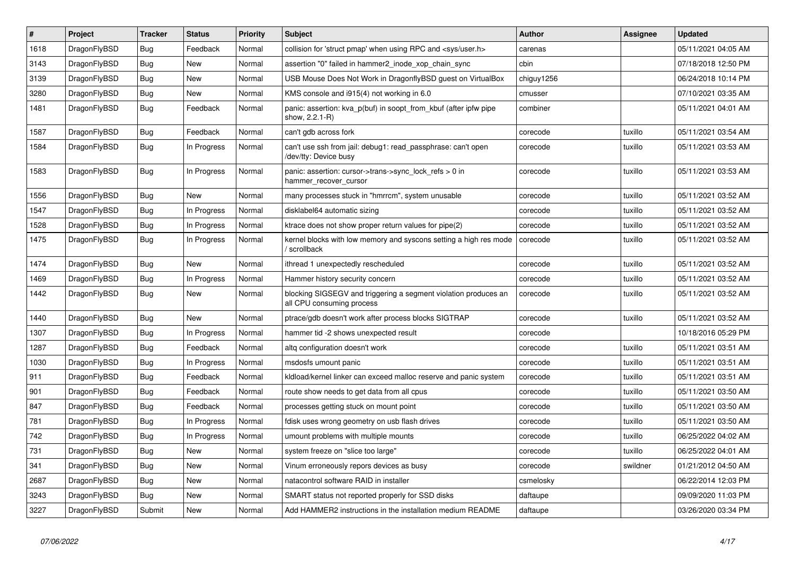| $\vert$ # | <b>Project</b> | <b>Tracker</b> | <b>Status</b> | <b>Priority</b> | <b>Subject</b>                                                                               | <b>Author</b> | Assignee | <b>Updated</b>      |
|-----------|----------------|----------------|---------------|-----------------|----------------------------------------------------------------------------------------------|---------------|----------|---------------------|
| 1618      | DragonFlyBSD   | <b>Bug</b>     | Feedback      | Normal          | collision for 'struct pmap' when using RPC and <sys user.h=""></sys>                         | carenas       |          | 05/11/2021 04:05 AM |
| 3143      | DragonFlyBSD   | <b>Bug</b>     | New           | Normal          | assertion "0" failed in hammer2 inode xop chain sync                                         | cbin          |          | 07/18/2018 12:50 PM |
| 3139      | DragonFlyBSD   | <b>Bug</b>     | <b>New</b>    | Normal          | USB Mouse Does Not Work in DragonflyBSD guest on VirtualBox                                  | chiguy1256    |          | 06/24/2018 10:14 PM |
| 3280      | DragonFlyBSD   | Bug            | <b>New</b>    | Normal          | KMS console and i915(4) not working in 6.0                                                   | cmusser       |          | 07/10/2021 03:35 AM |
| 1481      | DragonFlyBSD   | Bug            | Feedback      | Normal          | panic: assertion: kva p(buf) in soopt from kbuf (after ipfw pipe<br>show, 2.2.1-R)           | combiner      |          | 05/11/2021 04:01 AM |
| 1587      | DragonFlyBSD   | <b>Bug</b>     | Feedback      | Normal          | can't gdb across fork                                                                        | corecode      | tuxillo  | 05/11/2021 03:54 AM |
| 1584      | DragonFlyBSD   | Bug            | In Progress   | Normal          | can't use ssh from jail: debug1: read passphrase: can't open<br>/dev/tty: Device busy        | corecode      | tuxillo  | 05/11/2021 03:53 AM |
| 1583      | DragonFlyBSD   | <b>Bug</b>     | In Progress   | Normal          | panic: assertion: cursor->trans->sync_lock_refs > 0 in<br>hammer_recover_cursor              | corecode      | tuxillo  | 05/11/2021 03:53 AM |
| 1556      | DragonFlyBSD   | Bug            | <b>New</b>    | Normal          | many processes stuck in "hmrrcm", system unusable                                            | corecode      | tuxillo  | 05/11/2021 03:52 AM |
| 1547      | DragonFlyBSD   | Bug            | In Progress   | Normal          | disklabel64 automatic sizing                                                                 | corecode      | tuxillo  | 05/11/2021 03:52 AM |
| 1528      | DragonFlyBSD   | <b>Bug</b>     | In Progress   | Normal          | ktrace does not show proper return values for pipe(2)                                        | corecode      | tuxillo  | 05/11/2021 03:52 AM |
| 1475      | DragonFlyBSD   | <b>Bug</b>     | In Progress   | Normal          | kernel blocks with low memory and syscons setting a high res mode<br>/ scrollback            | corecode      | tuxillo  | 05/11/2021 03:52 AM |
| 1474      | DragonFlyBSD   | Bug            | New           | Normal          | ithread 1 unexpectedly rescheduled                                                           | corecode      | tuxillo  | 05/11/2021 03:52 AM |
| 1469      | DragonFlyBSD   | <b>Bug</b>     | In Progress   | Normal          | Hammer history security concern                                                              | corecode      | tuxillo  | 05/11/2021 03:52 AM |
| 1442      | DragonFlyBSD   | Bug            | <b>New</b>    | Normal          | blocking SIGSEGV and triggering a segment violation produces an<br>all CPU consuming process | corecode      | tuxillo  | 05/11/2021 03:52 AM |
| 1440      | DragonFlyBSD   | <b>Bug</b>     | New           | Normal          | ptrace/gdb doesn't work after process blocks SIGTRAP                                         | corecode      | tuxillo  | 05/11/2021 03:52 AM |
| 1307      | DragonFlyBSD   | <b>Bug</b>     | In Progress   | Normal          | hammer tid -2 shows unexpected result                                                        | corecode      |          | 10/18/2016 05:29 PM |
| 1287      | DragonFlyBSD   | <b>Bug</b>     | Feedback      | Normal          | altg configuration doesn't work                                                              | corecode      | tuxillo  | 05/11/2021 03:51 AM |
| 1030      | DragonFlyBSD   | Bug            | In Progress   | Normal          | msdosfs umount panic                                                                         | corecode      | tuxillo  | 05/11/2021 03:51 AM |
| 911       | DragonFlyBSD   | <b>Bug</b>     | Feedback      | Normal          | kldload/kernel linker can exceed malloc reserve and panic system                             | corecode      | tuxillo  | 05/11/2021 03:51 AM |
| 901       | DragonFlyBSD   | <b>Bug</b>     | Feedback      | Normal          | route show needs to get data from all cpus                                                   | corecode      | tuxillo  | 05/11/2021 03:50 AM |
| 847       | DragonFlyBSD   | <b>Bug</b>     | Feedback      | Normal          | processes getting stuck on mount point                                                       | corecode      | tuxillo  | 05/11/2021 03:50 AM |
| 781       | DragonFlyBSD   | Bug            | In Progress   | Normal          | fdisk uses wrong geometry on usb flash drives                                                | corecode      | tuxillo  | 05/11/2021 03:50 AM |
| 742       | DragonFlyBSD   | <b>Bug</b>     | In Progress   | Normal          | umount problems with multiple mounts                                                         | corecode      | tuxillo  | 06/25/2022 04:02 AM |
| 731       | DragonFlyBSD   | <b>Bug</b>     | New           | Normal          | system freeze on "slice too large"                                                           | corecode      | tuxillo  | 06/25/2022 04:01 AM |
| 341       | DragonFlyBSD   | <b>Bug</b>     | <b>New</b>    | Normal          | Vinum erroneously repors devices as busy                                                     | corecode      | swildner | 01/21/2012 04:50 AM |
| 2687      | DragonFlyBSD   | Bug            | <b>New</b>    | Normal          | natacontrol software RAID in installer                                                       | csmelosky     |          | 06/22/2014 12:03 PM |
| 3243      | DragonFlyBSD   | Bug            | <b>New</b>    | Normal          | SMART status not reported properly for SSD disks                                             | daftaupe      |          | 09/09/2020 11:03 PM |
| 3227      | DragonFlyBSD   | Submit         | New           | Normal          | Add HAMMER2 instructions in the installation medium README                                   | daftaupe      |          | 03/26/2020 03:34 PM |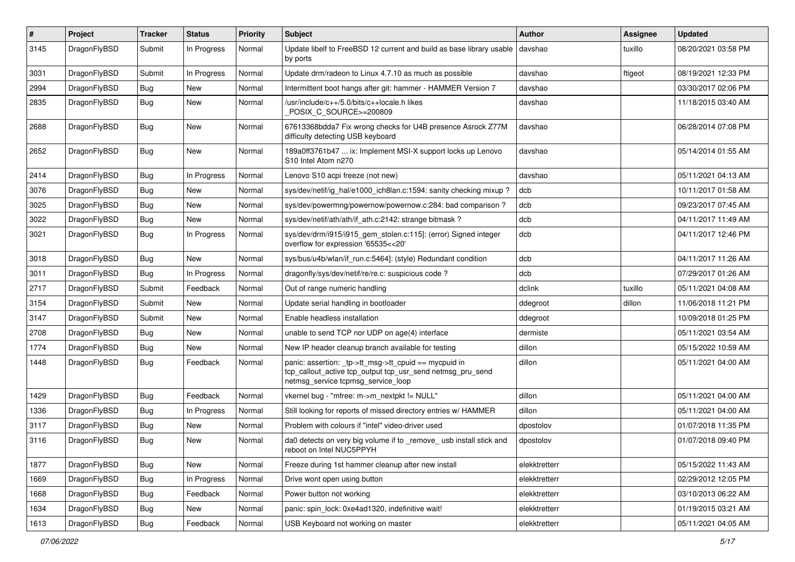| $\pmb{\#}$ | Project      | <b>Tracker</b> | <b>Status</b> | <b>Priority</b> | Subject                                                                                                                                                   | <b>Author</b> | <b>Assignee</b> | <b>Updated</b>      |
|------------|--------------|----------------|---------------|-----------------|-----------------------------------------------------------------------------------------------------------------------------------------------------------|---------------|-----------------|---------------------|
| 3145       | DragonFlyBSD | Submit         | In Progress   | Normal          | Update libelf to FreeBSD 12 current and build as base library usable<br>by ports                                                                          | davshao       | tuxillo         | 08/20/2021 03:58 PM |
| 3031       | DragonFlyBSD | Submit         | In Progress   | Normal          | Update drm/radeon to Linux 4.7.10 as much as possible                                                                                                     | davshao       | ftigeot         | 08/19/2021 12:33 PM |
| 2994       | DragonFlyBSD | Bug            | New           | Normal          | Intermittent boot hangs after git: hammer - HAMMER Version 7                                                                                              | davshao       |                 | 03/30/2017 02:06 PM |
| 2835       | DragonFlyBSD | <b>Bug</b>     | New           | Normal          | /usr/include/c++/5.0/bits/c++locale.h likes<br>POSIX C SOURCE>=200809                                                                                     | davshao       |                 | 11/18/2015 03:40 AM |
| 2688       | DragonFlyBSD | Bug            | New           | Normal          | 67613368bdda7 Fix wrong checks for U4B presence Asrock Z77M<br>difficulty detecting USB keyboard                                                          | davshao       |                 | 06/28/2014 07:08 PM |
| 2652       | DragonFlyBSD | Bug            | New           | Normal          | 189a0ff3761b47  ix: Implement MSI-X support locks up Lenovo<br>S10 Intel Atom n270                                                                        | davshao       |                 | 05/14/2014 01:55 AM |
| 2414       | DragonFlyBSD | <b>Bug</b>     | In Progress   | Normal          | Lenovo S10 acpi freeze (not new)                                                                                                                          | davshao       |                 | 05/11/2021 04:13 AM |
| 3076       | DragonFlyBSD | Bug            | New           | Normal          | sys/dev/netif/ig hal/e1000 ich8lan.c:1594: sanity checking mixup?                                                                                         | dcb           |                 | 10/11/2017 01:58 AM |
| 3025       | DragonFlyBSD | Bug            | <b>New</b>    | Normal          | sys/dev/powermng/powernow/powernow.c:284: bad comparison?                                                                                                 | dcb           |                 | 09/23/2017 07:45 AM |
| 3022       | DragonFlyBSD | Bug            | New           | Normal          | sys/dev/netif/ath/ath/if ath.c:2142: strange bitmask?                                                                                                     | dcb           |                 | 04/11/2017 11:49 AM |
| 3021       | DragonFlyBSD | Bug            | In Progress   | Normal          | sys/dev/drm/i915/i915_gem_stolen.c:115]: (error) Signed integer<br>overflow for expression '65535<<20'                                                    | dcb           |                 | 04/11/2017 12:46 PM |
| 3018       | DragonFlyBSD | Bug            | New           | Normal          | sys/bus/u4b/wlan/if_run.c:5464]: (style) Redundant condition                                                                                              | dcb           |                 | 04/11/2017 11:26 AM |
| 3011       | DragonFlyBSD | Bug            | In Progress   | Normal          | dragonfly/sys/dev/netif/re/re.c: suspicious code?                                                                                                         | dcb           |                 | 07/29/2017 01:26 AM |
| 2717       | DragonFlyBSD | Submit         | Feedback      | Normal          | Out of range numeric handling                                                                                                                             | dclink        | tuxillo         | 05/11/2021 04:08 AM |
| 3154       | DragonFlyBSD | Submit         | New           | Normal          | Update serial handling in bootloader                                                                                                                      | ddegroot      | dillon          | 11/06/2018 11:21 PM |
| 3147       | DragonFlyBSD | Submit         | <b>New</b>    | Normal          | Enable headless installation                                                                                                                              | ddegroot      |                 | 10/09/2018 01:25 PM |
| 2708       | DragonFlyBSD | Bug            | New           | Normal          | unable to send TCP nor UDP on age(4) interface                                                                                                            | dermiste      |                 | 05/11/2021 03:54 AM |
| 1774       | DragonFlyBSD | Bug            | New           | Normal          | New IP header cleanup branch available for testing                                                                                                        | dillon        |                 | 05/15/2022 10:59 AM |
| 1448       | DragonFlyBSD | Bug            | Feedback      | Normal          | panic: assertion: _tp->tt_msg->tt_cpuid == mycpuid in<br>tcp_callout_active tcp_output tcp_usr_send netmsg_pru_send<br>netmsg_service tcpmsg_service_loop | dillon        |                 | 05/11/2021 04:00 AM |
| 1429       | DragonFlyBSD | Bug            | Feedback      | Normal          | vkernel bug - "mfree: m->m_nextpkt != NULL"                                                                                                               | dillon        |                 | 05/11/2021 04:00 AM |
| 1336       | DragonFlyBSD | Bug            | In Progress   | Normal          | Still looking for reports of missed directory entries w/ HAMMER                                                                                           | dillon        |                 | 05/11/2021 04:00 AM |
| 3117       | DragonFlyBSD | Bug            | <b>New</b>    | Normal          | Problem with colours if "intel" video-driver used                                                                                                         | dpostolov     |                 | 01/07/2018 11:35 PM |
| 3116       | DragonFlyBSD | <b>Bug</b>     | New           | Normal          | da0 detects on very big volume if to remove usb install stick and<br>reboot on Intel NUC5PPYH                                                             | dpostolov     |                 | 01/07/2018 09:40 PM |
| 1877       | DragonFlyBSD | Bug            | New           | Normal          | Freeze during 1st hammer cleanup after new install                                                                                                        | elekktretterr |                 | 05/15/2022 11:43 AM |
| 1669       | DragonFlyBSD | <b>Bug</b>     | In Progress   | Normal          | Drive wont open using button                                                                                                                              | elekktretterr |                 | 02/29/2012 12:05 PM |
| 1668       | DragonFlyBSD | <b>Bug</b>     | Feedback      | Normal          | Power button not working                                                                                                                                  | elekktretterr |                 | 03/10/2013 06:22 AM |
| 1634       | DragonFlyBSD | Bug            | New           | Normal          | panic: spin_lock: 0xe4ad1320, indefinitive wait!                                                                                                          | elekktretterr |                 | 01/19/2015 03:21 AM |
| 1613       | DragonFlyBSD | Bug            | Feedback      | Normal          | USB Keyboard not working on master                                                                                                                        | elekktretterr |                 | 05/11/2021 04:05 AM |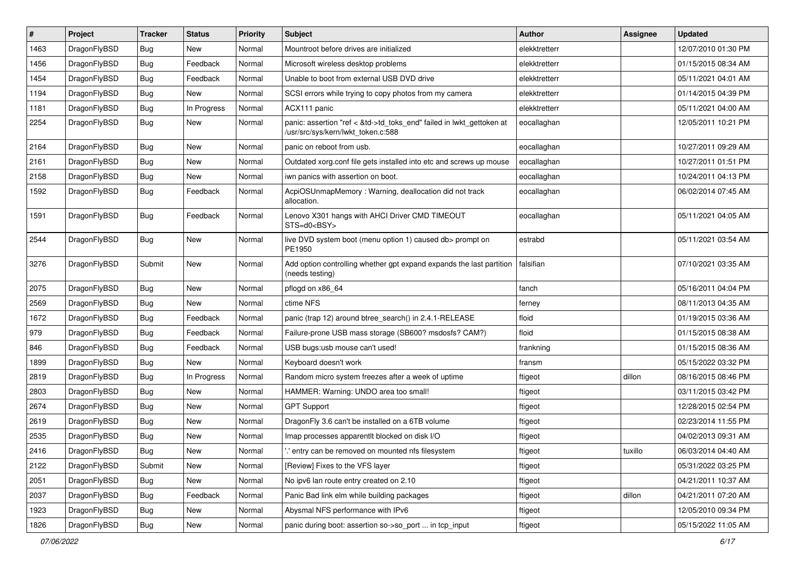| #    | Project      | <b>Tracker</b> | <b>Status</b> | <b>Priority</b> | Subject                                                                                                    | <b>Author</b> | Assignee | <b>Updated</b>      |
|------|--------------|----------------|---------------|-----------------|------------------------------------------------------------------------------------------------------------|---------------|----------|---------------------|
| 1463 | DragonFlyBSD | Bug            | New           | Normal          | Mountroot before drives are initialized                                                                    | elekktretterr |          | 12/07/2010 01:30 PM |
| 1456 | DragonFlyBSD | Bug            | Feedback      | Normal          | Microsoft wireless desktop problems                                                                        | elekktretterr |          | 01/15/2015 08:34 AM |
| 1454 | DragonFlyBSD | <b>Bug</b>     | Feedback      | Normal          | Unable to boot from external USB DVD drive                                                                 | elekktretterr |          | 05/11/2021 04:01 AM |
| 1194 | DragonFlyBSD | Bug            | New           | Normal          | SCSI errors while trying to copy photos from my camera                                                     | elekktretterr |          | 01/14/2015 04:39 PM |
| 1181 | DragonFlyBSD | Bug            | In Progress   | Normal          | ACX111 panic                                                                                               | elekktretterr |          | 05/11/2021 04:00 AM |
| 2254 | DragonFlyBSD | Bug            | <b>New</b>    | Normal          | panic: assertion "ref < &td->td_toks_end" failed in lwkt_gettoken at<br>/usr/src/sys/kern/lwkt_token.c:588 | eocallaghan   |          | 12/05/2011 10:21 PM |
| 2164 | DragonFlyBSD | Bug            | <b>New</b>    | Normal          | panic on reboot from usb.                                                                                  | eocallaghan   |          | 10/27/2011 09:29 AM |
| 2161 | DragonFlyBSD | Bug            | New           | Normal          | Outdated xorg.conf file gets installed into etc and screws up mouse                                        | eocallaghan   |          | 10/27/2011 01:51 PM |
| 2158 | DragonFlyBSD | Bug            | New           | Normal          | iwn panics with assertion on boot.                                                                         | eocallaghan   |          | 10/24/2011 04:13 PM |
| 1592 | DragonFlyBSD | Bug            | Feedback      | Normal          | AcpiOSUnmapMemory: Warning, deallocation did not track<br>allocation.                                      | eocallaghan   |          | 06/02/2014 07:45 AM |
| 1591 | DragonFlyBSD | Bug            | Feedback      | Normal          | Lenovo X301 hangs with AHCI Driver CMD TIMEOUT<br>STS=d0 <bsy></bsy>                                       | eocallaghan   |          | 05/11/2021 04:05 AM |
| 2544 | DragonFlyBSD | Bug            | New           | Normal          | live DVD system boot (menu option 1) caused db> prompt on<br>PE1950                                        | estrabd       |          | 05/11/2021 03:54 AM |
| 3276 | DragonFlyBSD | Submit         | <b>New</b>    | Normal          | Add option controlling whether gpt expand expands the last partition<br>(needs testing)                    | falsifian     |          | 07/10/2021 03:35 AM |
| 2075 | DragonFlyBSD | Bug            | <b>New</b>    | Normal          | pflogd on x86 64                                                                                           | fanch         |          | 05/16/2011 04:04 PM |
| 2569 | DragonFlyBSD | Bug            | New           | Normal          | ctime NFS                                                                                                  | ferney        |          | 08/11/2013 04:35 AM |
| 1672 | DragonFlyBSD | Bug            | Feedback      | Normal          | panic (trap 12) around btree_search() in 2.4.1-RELEASE                                                     | floid         |          | 01/19/2015 03:36 AM |
| 979  | DragonFlyBSD | Bug            | Feedback      | Normal          | Failure-prone USB mass storage (SB600? msdosfs? CAM?)                                                      | floid         |          | 01/15/2015 08:38 AM |
| 846  | DragonFlyBSD | Bug            | Feedback      | Normal          | USB bugs:usb mouse can't used!                                                                             | frankning     |          | 01/15/2015 08:36 AM |
| 1899 | DragonFlyBSD | Bug            | New           | Normal          | Keyboard doesn't work                                                                                      | fransm        |          | 05/15/2022 03:32 PM |
| 2819 | DragonFlyBSD | Bug            | In Progress   | Normal          | Random micro system freezes after a week of uptime                                                         | ftigeot       | dillon   | 08/16/2015 08:46 PM |
| 2803 | DragonFlyBSD | Bug            | New           | Normal          | HAMMER: Warning: UNDO area too small!                                                                      | ftigeot       |          | 03/11/2015 03:42 PM |
| 2674 | DragonFlyBSD | Bug            | New           | Normal          | <b>GPT Support</b>                                                                                         | ftigeot       |          | 12/28/2015 02:54 PM |
| 2619 | DragonFlyBSD | Bug            | New           | Normal          | DragonFly 3.6 can't be installed on a 6TB volume                                                           | ftigeot       |          | 02/23/2014 11:55 PM |
| 2535 | DragonFlyBSD | Bug            | New           | Normal          | Imap processes apparentlt blocked on disk I/O                                                              | ftigeot       |          | 04/02/2013 09:31 AM |
| 2416 | DragonFlyBSD | <b>Bug</b>     | New           | Normal          | ".' entry can be removed on mounted nfs filesystem                                                         | ftigeot       | tuxillo  | 06/03/2014 04:40 AM |
| 2122 | DragonFlyBSD | Submit         | New           | Normal          | [Review] Fixes to the VFS layer                                                                            | ftigeot       |          | 05/31/2022 03:25 PM |
| 2051 | DragonFlyBSD | <b>Bug</b>     | New           | Normal          | No ipv6 lan route entry created on 2.10                                                                    | ftigeot       |          | 04/21/2011 10:37 AM |
| 2037 | DragonFlyBSD | <b>Bug</b>     | Feedback      | Normal          | Panic Bad link elm while building packages                                                                 | ftigeot       | dillon   | 04/21/2011 07:20 AM |
| 1923 | DragonFlyBSD | <b>Bug</b>     | <b>New</b>    | Normal          | Abysmal NFS performance with IPv6                                                                          | ftigeot       |          | 12/05/2010 09:34 PM |
| 1826 | DragonFlyBSD | Bug            | New           | Normal          | panic during boot: assertion so->so_port  in tcp_input                                                     | ftigeot       |          | 05/15/2022 11:05 AM |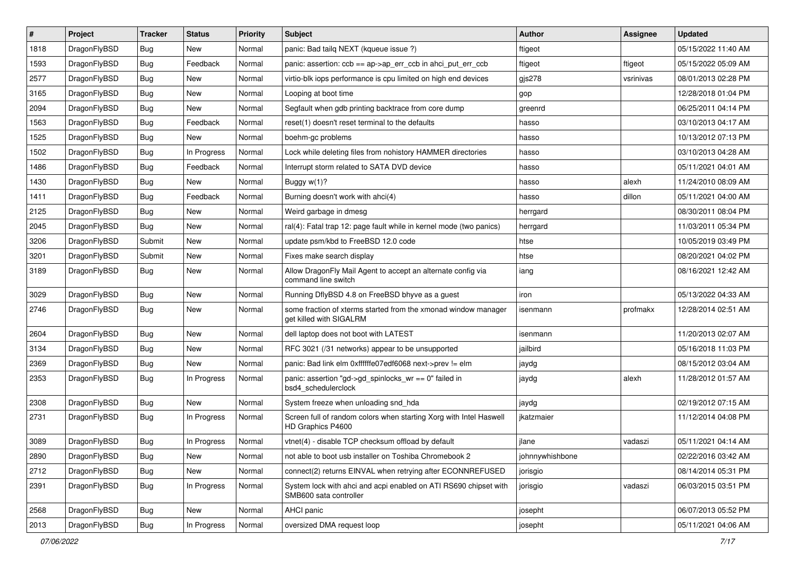| #    | Project      | <b>Tracker</b> | <b>Status</b> | <b>Priority</b> | Subject                                                                                    | Author          | <b>Assignee</b> | <b>Updated</b>      |
|------|--------------|----------------|---------------|-----------------|--------------------------------------------------------------------------------------------|-----------------|-----------------|---------------------|
| 1818 | DragonFlyBSD | Bug            | New           | Normal          | panic: Bad tailq NEXT (kqueue issue ?)                                                     | ftigeot         |                 | 05/15/2022 11:40 AM |
| 1593 | DragonFlyBSD | Bug            | Feedback      | Normal          | panic: assertion: ccb == ap->ap_err_ccb in ahci_put_err_ccb                                | ftigeot         | ftigeot         | 05/15/2022 05:09 AM |
| 2577 | DragonFlyBSD | Bug            | New           | Normal          | virtio-blk iops performance is cpu limited on high end devices                             | $g$ js $278$    | vsrinivas       | 08/01/2013 02:28 PM |
| 3165 | DragonFlyBSD | Bug            | New           | Normal          | Looping at boot time                                                                       | gop             |                 | 12/28/2018 01:04 PM |
| 2094 | DragonFlyBSD | Bug            | <b>New</b>    | Normal          | Segfault when gdb printing backtrace from core dump                                        | greenrd         |                 | 06/25/2011 04:14 PM |
| 1563 | DragonFlyBSD | Bug            | Feedback      | Normal          | reset(1) doesn't reset terminal to the defaults                                            | hasso           |                 | 03/10/2013 04:17 AM |
| 1525 | DragonFlyBSD | Bug            | New           | Normal          | boehm-gc problems                                                                          | hasso           |                 | 10/13/2012 07:13 PM |
| 1502 | DragonFlyBSD | Bug            | In Progress   | Normal          | Lock while deleting files from nohistory HAMMER directories                                | hasso           |                 | 03/10/2013 04:28 AM |
| 1486 | DragonFlyBSD | Bug            | Feedback      | Normal          | Interrupt storm related to SATA DVD device                                                 | hasso           |                 | 05/11/2021 04:01 AM |
| 1430 | DragonFlyBSD | Bug            | New           | Normal          | Buggy w(1)?                                                                                | hasso           | alexh           | 11/24/2010 08:09 AM |
| 1411 | DragonFlyBSD | Bug            | Feedback      | Normal          | Burning doesn't work with ahci(4)                                                          | hasso           | dillon          | 05/11/2021 04:00 AM |
| 2125 | DragonFlyBSD | Bug            | <b>New</b>    | Normal          | Weird garbage in dmesg                                                                     | herrgard        |                 | 08/30/2011 08:04 PM |
| 2045 | DragonFlyBSD | Bug            | New           | Normal          | ral(4): Fatal trap 12: page fault while in kernel mode (two panics)                        | herrgard        |                 | 11/03/2011 05:34 PM |
| 3206 | DragonFlyBSD | Submit         | <b>New</b>    | Normal          | update psm/kbd to FreeBSD 12.0 code                                                        | htse            |                 | 10/05/2019 03:49 PM |
| 3201 | DragonFlyBSD | Submit         | New           | Normal          | Fixes make search display                                                                  | htse            |                 | 08/20/2021 04:02 PM |
| 3189 | DragonFlyBSD | Bug            | New           | Normal          | Allow DragonFly Mail Agent to accept an alternate config via<br>command line switch        | iang            |                 | 08/16/2021 12:42 AM |
| 3029 | DragonFlyBSD | Bug            | <b>New</b>    | Normal          | Running DflyBSD 4.8 on FreeBSD bhyve as a guest                                            | iron            |                 | 05/13/2022 04:33 AM |
| 2746 | DragonFlyBSD | <b>Bug</b>     | New           | Normal          | some fraction of xterms started from the xmonad window manager<br>get killed with SIGALRM  | isenmann        | profmakx        | 12/28/2014 02:51 AM |
| 2604 | DragonFlyBSD | Bug            | <b>New</b>    | Normal          | dell laptop does not boot with LATEST                                                      | isenmann        |                 | 11/20/2013 02:07 AM |
| 3134 | DragonFlyBSD | Bug            | <b>New</b>    | Normal          | RFC 3021 (/31 networks) appear to be unsupported                                           | jailbird        |                 | 05/16/2018 11:03 PM |
| 2369 | DragonFlyBSD | Bug            | New           | Normal          | panic: Bad link elm 0xffffffe07edf6068 next->prev != elm                                   | jaydg           |                 | 08/15/2012 03:04 AM |
| 2353 | DragonFlyBSD | Bug            | In Progress   | Normal          | panic: assertion "gd->gd_spinlocks_wr == 0" failed in<br>bsd4_schedulerclock               | jaydg           | alexh           | 11/28/2012 01:57 AM |
| 2308 | DragonFlyBSD | Bug            | New           | Normal          | System freeze when unloading snd_hda                                                       | jaydg           |                 | 02/19/2012 07:15 AM |
| 2731 | DragonFlyBSD | <b>Bug</b>     | In Progress   | Normal          | Screen full of random colors when starting Xorg with Intel Haswell<br>HD Graphics P4600    | jkatzmaier      |                 | 11/12/2014 04:08 PM |
| 3089 | DragonFlyBSD | Bug            | In Progress   | Normal          | vtnet(4) - disable TCP checksum offload by default                                         | jlane           | vadaszi         | 05/11/2021 04:14 AM |
| 2890 | DragonFlyBSD | <b>Bug</b>     | New           | Normal          | not able to boot usb installer on Toshiba Chromebook 2                                     | johnnywhishbone |                 | 02/22/2016 03:42 AM |
| 2712 | DragonFlyBSD | <b>Bug</b>     | New           | Normal          | connect(2) returns EINVAL when retrying after ECONNREFUSED                                 | jorisgio        |                 | 08/14/2014 05:31 PM |
| 2391 | DragonFlyBSD | <b>Bug</b>     | In Progress   | Normal          | System lock with ahci and acpi enabled on ATI RS690 chipset with<br>SMB600 sata controller | jorisgio        | vadaszi         | 06/03/2015 03:51 PM |
| 2568 | DragonFlyBSD | <b>Bug</b>     | <b>New</b>    | Normal          | AHCI panic                                                                                 | josepht         |                 | 06/07/2013 05:52 PM |
| 2013 | DragonFlyBSD | <b>Bug</b>     | In Progress   | Normal          | oversized DMA request loop                                                                 | josepht         |                 | 05/11/2021 04:06 AM |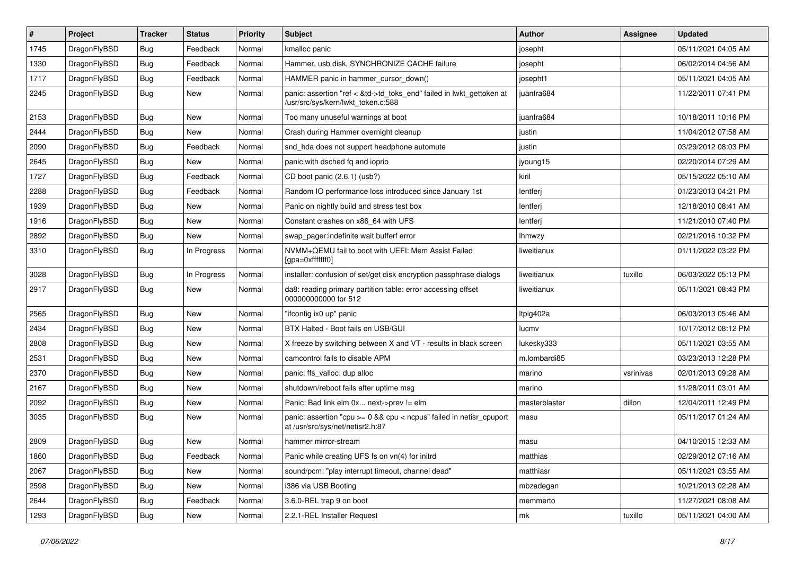| #    | Project      | <b>Tracker</b> | <b>Status</b> | <b>Priority</b> | Subject                                                                                                    | Author        | Assignee  | <b>Updated</b>      |
|------|--------------|----------------|---------------|-----------------|------------------------------------------------------------------------------------------------------------|---------------|-----------|---------------------|
| 1745 | DragonFlyBSD | Bug            | Feedback      | Normal          | kmalloc panic                                                                                              | josepht       |           | 05/11/2021 04:05 AM |
| 1330 | DragonFlyBSD | Bug            | Feedback      | Normal          | Hammer, usb disk, SYNCHRONIZE CACHE failure                                                                | josepht       |           | 06/02/2014 04:56 AM |
| 1717 | DragonFlyBSD | <b>Bug</b>     | Feedback      | Normal          | HAMMER panic in hammer cursor down()                                                                       | josepht1      |           | 05/11/2021 04:05 AM |
| 2245 | DragonFlyBSD | Bug            | New           | Normal          | panic: assertion "ref < &td->td_toks_end" failed in lwkt_gettoken at<br>/usr/src/sys/kern/lwkt_token.c:588 | juanfra684    |           | 11/22/2011 07:41 PM |
| 2153 | DragonFlyBSD | Bug            | <b>New</b>    | Normal          | Too many unuseful warnings at boot                                                                         | juanfra684    |           | 10/18/2011 10:16 PM |
| 2444 | DragonFlyBSD | Bug            | New           | Normal          | Crash during Hammer overnight cleanup                                                                      | justin        |           | 11/04/2012 07:58 AM |
| 2090 | DragonFlyBSD | <b>Bug</b>     | Feedback      | Normal          | snd_hda does not support headphone automute                                                                | justin        |           | 03/29/2012 08:03 PM |
| 2645 | DragonFlyBSD | <b>Bug</b>     | New           | Normal          | panic with dsched fq and ioprio                                                                            | jyoung15      |           | 02/20/2014 07:29 AM |
| 1727 | DragonFlyBSD | Bug            | Feedback      | Normal          | CD boot panic (2.6.1) (usb?)                                                                               | kiril         |           | 05/15/2022 05:10 AM |
| 2288 | DragonFlyBSD | <b>Bug</b>     | Feedback      | Normal          | Random IO performance loss introduced since January 1st                                                    | lentferj      |           | 01/23/2013 04:21 PM |
| 1939 | DragonFlyBSD | Bug            | <b>New</b>    | Normal          | Panic on nightly build and stress test box                                                                 | lentferj      |           | 12/18/2010 08:41 AM |
| 1916 | DragonFlyBSD | <b>Bug</b>     | New           | Normal          | Constant crashes on x86 64 with UFS                                                                        | lentferj      |           | 11/21/2010 07:40 PM |
| 2892 | DragonFlyBSD | <b>Bug</b>     | <b>New</b>    | Normal          | swap pager:indefinite wait bufferf error                                                                   | <b>Ihmwzy</b> |           | 02/21/2016 10:32 PM |
| 3310 | DragonFlyBSD | Bug            | In Progress   | Normal          | NVMM+QEMU fail to boot with UEFI: Mem Assist Failed<br>[gpa=0xfffffff0]                                    | liweitianux   |           | 01/11/2022 03:22 PM |
| 3028 | DragonFlyBSD | Bug            | In Progress   | Normal          | installer: confusion of set/get disk encryption passphrase dialogs                                         | liweitianux   | tuxillo   | 06/03/2022 05:13 PM |
| 2917 | DragonFlyBSD | Bug            | New           | Normal          | da8: reading primary partition table: error accessing offset<br>000000000000 for 512                       | liweitianux   |           | 05/11/2021 08:43 PM |
| 2565 | DragonFlyBSD | Bug            | New           | Normal          | "ifconfig ix0 up" panic                                                                                    | Itpig402a     |           | 06/03/2013 05:46 AM |
| 2434 | DragonFlyBSD | <b>Bug</b>     | New           | Normal          | BTX Halted - Boot fails on USB/GUI                                                                         | lucmv         |           | 10/17/2012 08:12 PM |
| 2808 | DragonFlyBSD | Bug            | <b>New</b>    | Normal          | X freeze by switching between X and VT - results in black screen                                           | lukesky333    |           | 05/11/2021 03:55 AM |
| 2531 | DragonFlyBSD | Bug            | <b>New</b>    | Normal          | camcontrol fails to disable APM                                                                            | m.lombardi85  |           | 03/23/2013 12:28 PM |
| 2370 | DragonFlyBSD | <b>Bug</b>     | <b>New</b>    | Normal          | panic: ffs_valloc: dup alloc                                                                               | marino        | vsrinivas | 02/01/2013 09:28 AM |
| 2167 | DragonFlyBSD | Bug            | <b>New</b>    | Normal          | shutdown/reboot fails after uptime msg                                                                     | marino        |           | 11/28/2011 03:01 AM |
| 2092 | DragonFlyBSD | <b>Bug</b>     | <b>New</b>    | Normal          | Panic: Bad link elm 0x next->prev != elm                                                                   | masterblaster | dillon    | 12/04/2011 12:49 PM |
| 3035 | DragonFlyBSD | Bug            | New           | Normal          | panic: assertion "cpu >= 0 && cpu < ncpus" failed in netisr_cpuport<br>at /usr/src/sys/net/netisr2.h:87    | masu          |           | 05/11/2017 01:24 AM |
| 2809 | DragonFlyBSD | Bug            | New           | Normal          | hammer mirror-stream                                                                                       | masu          |           | 04/10/2015 12:33 AM |
| 1860 | DragonFlyBSD | <b>Bug</b>     | Feedback      | Normal          | Panic while creating UFS fs on vn(4) for initrd                                                            | matthias      |           | 02/29/2012 07:16 AM |
| 2067 | DragonFlyBSD | <b>Bug</b>     | New           | Normal          | sound/pcm: "play interrupt timeout, channel dead"                                                          | matthiasr     |           | 05/11/2021 03:55 AM |
| 2598 | DragonFlyBSD | <b>Bug</b>     | New           | Normal          | i386 via USB Booting                                                                                       | mbzadegan     |           | 10/21/2013 02:28 AM |
| 2644 | DragonFlyBSD | Bug            | Feedback      | Normal          | 3.6.0-REL trap 9 on boot                                                                                   | memmerto      |           | 11/27/2021 08:08 AM |
| 1293 | DragonFlyBSD | Bug            | New           | Normal          | 2.2.1-REL Installer Request                                                                                | mk            | tuxillo   | 05/11/2021 04:00 AM |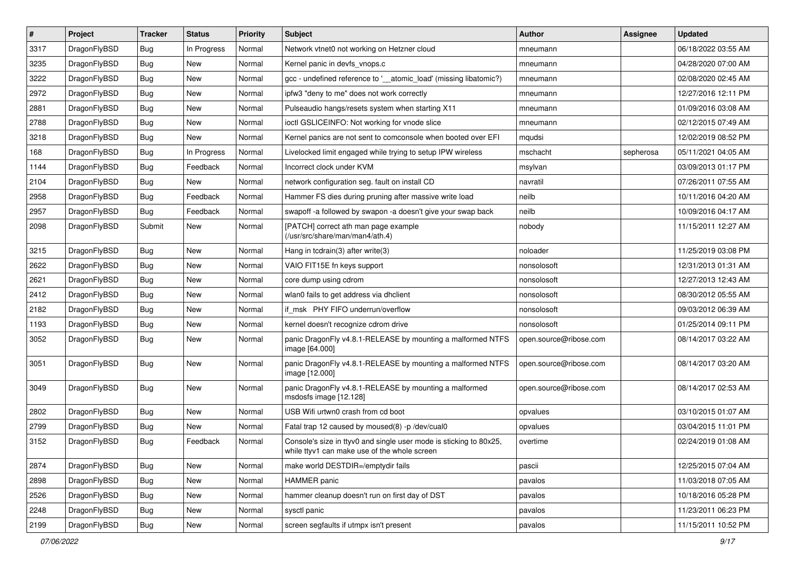| $\pmb{\#}$ | Project      | <b>Tracker</b> | <b>Status</b> | <b>Priority</b> | Subject                                                                                                            | <b>Author</b>          | Assignee  | <b>Updated</b>      |
|------------|--------------|----------------|---------------|-----------------|--------------------------------------------------------------------------------------------------------------------|------------------------|-----------|---------------------|
| 3317       | DragonFlyBSD | Bug            | In Progress   | Normal          | Network vtnet0 not working on Hetzner cloud                                                                        | mneumann               |           | 06/18/2022 03:55 AM |
| 3235       | DragonFlyBSD | Bug            | <b>New</b>    | Normal          | Kernel panic in devfs vnops.c                                                                                      | mneumann               |           | 04/28/2020 07:00 AM |
| 3222       | DragonFlyBSD | Bug            | New           | Normal          | gcc - undefined reference to '__atomic_load' (missing libatomic?)                                                  | mneumann               |           | 02/08/2020 02:45 AM |
| 2972       | DragonFlyBSD | Bug            | <b>New</b>    | Normal          | ipfw3 "deny to me" does not work correctly                                                                         | mneumann               |           | 12/27/2016 12:11 PM |
| 2881       | DragonFlyBSD | Bug            | <b>New</b>    | Normal          | Pulseaudio hangs/resets system when starting X11                                                                   | mneumann               |           | 01/09/2016 03:08 AM |
| 2788       | DragonFlyBSD | Bug            | New           | Normal          | ioctl GSLICEINFO: Not working for vnode slice                                                                      | mneumann               |           | 02/12/2015 07:49 AM |
| 3218       | DragonFlyBSD | Bug            | New           | Normal          | Kernel panics are not sent to comconsole when booted over EFI                                                      | mqudsi                 |           | 12/02/2019 08:52 PM |
| 168        | DragonFlyBSD | Bug            | In Progress   | Normal          | Livelocked limit engaged while trying to setup IPW wireless                                                        | mschacht               | sepherosa | 05/11/2021 04:05 AM |
| 1144       | DragonFlyBSD | Bug            | Feedback      | Normal          | Incorrect clock under KVM                                                                                          | msylvan                |           | 03/09/2013 01:17 PM |
| 2104       | DragonFlyBSD | Bug            | <b>New</b>    | Normal          | network configuration seg. fault on install CD                                                                     | navratil               |           | 07/26/2011 07:55 AM |
| 2958       | DragonFlyBSD | Bug            | Feedback      | Normal          | Hammer FS dies during pruning after massive write load                                                             | neilb                  |           | 10/11/2016 04:20 AM |
| 2957       | DragonFlyBSD | Bug            | Feedback      | Normal          | swapoff -a followed by swapon -a doesn't give your swap back                                                       | neilb                  |           | 10/09/2016 04:17 AM |
| 2098       | DragonFlyBSD | Submit         | New           | Normal          | [PATCH] correct ath man page example<br>(/usr/src/share/man/man4/ath.4)                                            | nobody                 |           | 11/15/2011 12:27 AM |
| 3215       | DragonFlyBSD | Bug            | <b>New</b>    | Normal          | Hang in tcdrain(3) after write(3)                                                                                  | noloader               |           | 11/25/2019 03:08 PM |
| 2622       | DragonFlyBSD | Bug            | New           | Normal          | VAIO FIT15E fn keys support                                                                                        | nonsolosoft            |           | 12/31/2013 01:31 AM |
| 2621       | DragonFlyBSD | Bug            | New           | Normal          | core dump using cdrom                                                                                              | nonsolosoft            |           | 12/27/2013 12:43 AM |
| 2412       | DragonFlyBSD | Bug            | <b>New</b>    | Normal          | wlan0 fails to get address via dhclient                                                                            | nonsolosoft            |           | 08/30/2012 05:55 AM |
| 2182       | DragonFlyBSD | Bug            | New           | Normal          | if_msk PHY FIFO underrun/overflow                                                                                  | nonsolosoft            |           | 09/03/2012 06:39 AM |
| 1193       | DragonFlyBSD | Bug            | <b>New</b>    | Normal          | kernel doesn't recognize cdrom drive                                                                               | nonsolosoft            |           | 01/25/2014 09:11 PM |
| 3052       | DragonFlyBSD | Bug            | New           | Normal          | panic DragonFly v4.8.1-RELEASE by mounting a malformed NTFS<br>image [64.000]                                      | open.source@ribose.com |           | 08/14/2017 03:22 AM |
| 3051       | DragonFlyBSD | Bug            | <b>New</b>    | Normal          | panic DragonFly v4.8.1-RELEASE by mounting a malformed NTFS<br>image [12.000]                                      | open.source@ribose.com |           | 08/14/2017 03:20 AM |
| 3049       | DragonFlyBSD | Bug            | New           | Normal          | panic DragonFly v4.8.1-RELEASE by mounting a malformed<br>msdosfs image [12.128]                                   | open.source@ribose.com |           | 08/14/2017 02:53 AM |
| 2802       | DragonFlyBSD | Bug            | <b>New</b>    | Normal          | USB Wifi urtwn0 crash from cd boot                                                                                 | opvalues               |           | 03/10/2015 01:07 AM |
| 2799       | DragonFlyBSD | Bug            | <b>New</b>    | Normal          | Fatal trap 12 caused by moused(8) -p/dev/cual0                                                                     | opvalues               |           | 03/04/2015 11:01 PM |
| 3152       | DragonFlyBSD | <b>Bug</b>     | Feedback      | Normal          | Console's size in ttyv0 and single user mode is sticking to 80x25,<br>while ttyv1 can make use of the whole screen | overtime               |           | 02/24/2019 01:08 AM |
| 2874       | DragonFlyBSD | <b>Bug</b>     | <b>New</b>    | Normal          | make world DESTDIR=/emptydir fails                                                                                 | pascii                 |           | 12/25/2015 07:04 AM |
| 2898       | DragonFlyBSD | <b>Bug</b>     | New           | Normal          | <b>HAMMER</b> panic                                                                                                | pavalos                |           | 11/03/2018 07:05 AM |
| 2526       | DragonFlyBSD | <b>Bug</b>     | New           | Normal          | hammer cleanup doesn't run on first day of DST                                                                     | pavalos                |           | 10/18/2016 05:28 PM |
| 2248       | DragonFlyBSD | <b>Bug</b>     | New           | Normal          | sysctl panic                                                                                                       | pavalos                |           | 11/23/2011 06:23 PM |
| 2199       | DragonFlyBSD | <b>Bug</b>     | New           | Normal          | screen segfaults if utmpx isn't present                                                                            | pavalos                |           | 11/15/2011 10:52 PM |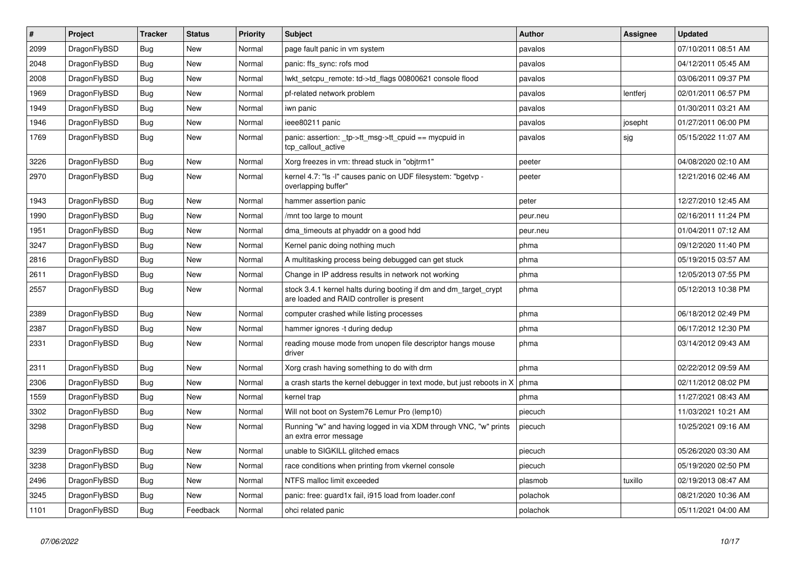| $\vert$ # | <b>Project</b> | <b>Tracker</b> | <b>Status</b> | <b>Priority</b> | <b>Subject</b>                                                                                                 | Author   | Assignee | <b>Updated</b>      |
|-----------|----------------|----------------|---------------|-----------------|----------------------------------------------------------------------------------------------------------------|----------|----------|---------------------|
| 2099      | DragonFlyBSD   | <b>Bug</b>     | <b>New</b>    | Normal          | page fault panic in vm system                                                                                  | pavalos  |          | 07/10/2011 08:51 AM |
| 2048      | DragonFlyBSD   | <b>Bug</b>     | New           | Normal          | panic: ffs sync: rofs mod                                                                                      | pavalos  |          | 04/12/2011 05:45 AM |
| 2008      | DragonFlyBSD   | <b>Bug</b>     | <b>New</b>    | Normal          | lwkt_setcpu_remote: td->td_flags 00800621 console flood                                                        | pavalos  |          | 03/06/2011 09:37 PM |
| 1969      | DragonFlyBSD   | Bug            | New           | Normal          | pf-related network problem                                                                                     | pavalos  | lentferj | 02/01/2011 06:57 PM |
| 1949      | DragonFlyBSD   | <b>Bug</b>     | <b>New</b>    | Normal          | iwn panic                                                                                                      | pavalos  |          | 01/30/2011 03:21 AM |
| 1946      | DragonFlyBSD   | Bug            | <b>New</b>    | Normal          | ieee80211 panic                                                                                                | pavalos  | josepht  | 01/27/2011 06:00 PM |
| 1769      | DragonFlyBSD   | <b>Bug</b>     | New           | Normal          | panic: assertion: _tp->tt_msg->tt_cpuid == mycpuid in<br>tcp callout active                                    | pavalos  | sjg      | 05/15/2022 11:07 AM |
| 3226      | DragonFlyBSD   | <b>Bug</b>     | <b>New</b>    | Normal          | Xorg freezes in vm: thread stuck in "objtrm1"                                                                  | peeter   |          | 04/08/2020 02:10 AM |
| 2970      | DragonFlyBSD   | Bug            | New           | Normal          | kernel 4.7: "Is -I" causes panic on UDF filesystem: "bgetvp -<br>overlapping buffer"                           | peeter   |          | 12/21/2016 02:46 AM |
| 1943      | DragonFlyBSD   | <b>Bug</b>     | <b>New</b>    | Normal          | hammer assertion panic                                                                                         | peter    |          | 12/27/2010 12:45 AM |
| 1990      | DragonFlyBSD   | <b>Bug</b>     | <b>New</b>    | Normal          | /mnt too large to mount                                                                                        | peur.neu |          | 02/16/2011 11:24 PM |
| 1951      | DragonFlyBSD   | Bug            | <b>New</b>    | Normal          | dma timeouts at phyaddr on a good hdd                                                                          | peur.neu |          | 01/04/2011 07:12 AM |
| 3247      | DragonFlyBSD   | <b>Bug</b>     | <b>New</b>    | Normal          | Kernel panic doing nothing much                                                                                | phma     |          | 09/12/2020 11:40 PM |
| 2816      | DragonFlyBSD   | <b>Bug</b>     | <b>New</b>    | Normal          | A multitasking process being debugged can get stuck                                                            | phma     |          | 05/19/2015 03:57 AM |
| 2611      | DragonFlyBSD   | <b>Bug</b>     | <b>New</b>    | Normal          | Change in IP address results in network not working                                                            | phma     |          | 12/05/2013 07:55 PM |
| 2557      | DragonFlyBSD   | Bug            | <b>New</b>    | Normal          | stock 3.4.1 kernel halts during booting if dm and dm_target_crypt<br>are loaded and RAID controller is present | phma     |          | 05/12/2013 10:38 PM |
| 2389      | DragonFlyBSD   | Bug            | <b>New</b>    | Normal          | computer crashed while listing processes                                                                       | phma     |          | 06/18/2012 02:49 PM |
| 2387      | DragonFlyBSD   | <b>Bug</b>     | <b>New</b>    | Normal          | hammer ignores -t during dedup                                                                                 | phma     |          | 06/17/2012 12:30 PM |
| 2331      | DragonFlyBSD   | Bug            | New           | Normal          | reading mouse mode from unopen file descriptor hangs mouse<br>driver                                           | phma     |          | 03/14/2012 09:43 AM |
| 2311      | DragonFlyBSD   | Bug            | <b>New</b>    | Normal          | Xorg crash having something to do with drm                                                                     | phma     |          | 02/22/2012 09:59 AM |
| 2306      | DragonFlyBSD   | <b>Bug</b>     | New           | Normal          | a crash starts the kernel debugger in text mode, but just reboots in X                                         | phma     |          | 02/11/2012 08:02 PM |
| 1559      | DragonFlyBSD   | <b>Bug</b>     | <b>New</b>    | Normal          | kernel trap                                                                                                    | phma     |          | 11/27/2021 08:43 AM |
| 3302      | DragonFlyBSD   | Bug            | New           | Normal          | Will not boot on System76 Lemur Pro (lemp10)                                                                   | piecuch  |          | 11/03/2021 10:21 AM |
| 3298      | DragonFlyBSD   | <b>Bug</b>     | New           | Normal          | Running "w" and having logged in via XDM through VNC, "w" prints<br>an extra error message                     | piecuch  |          | 10/25/2021 09:16 AM |
| 3239      | DragonFlyBSD   | <b>Bug</b>     | <b>New</b>    | Normal          | unable to SIGKILL glitched emacs                                                                               | piecuch  |          | 05/26/2020 03:30 AM |
| 3238      | DragonFlyBSD   | <b>Bug</b>     | <b>New</b>    | Normal          | race conditions when printing from vkernel console                                                             | piecuch  |          | 05/19/2020 02:50 PM |
| 2496      | DragonFlyBSD   | Bug            | New           | Normal          | NTFS malloc limit exceeded                                                                                     | plasmob  | tuxillo  | 02/19/2013 08:47 AM |
| 3245      | DragonFlyBSD   | Bug            | New           | Normal          | panic: free: guard1x fail, i915 load from loader.conf                                                          | polachok |          | 08/21/2020 10:36 AM |
| 1101      | DragonFlyBSD   | <b>Bug</b>     | Feedback      | Normal          | ohci related panic                                                                                             | polachok |          | 05/11/2021 04:00 AM |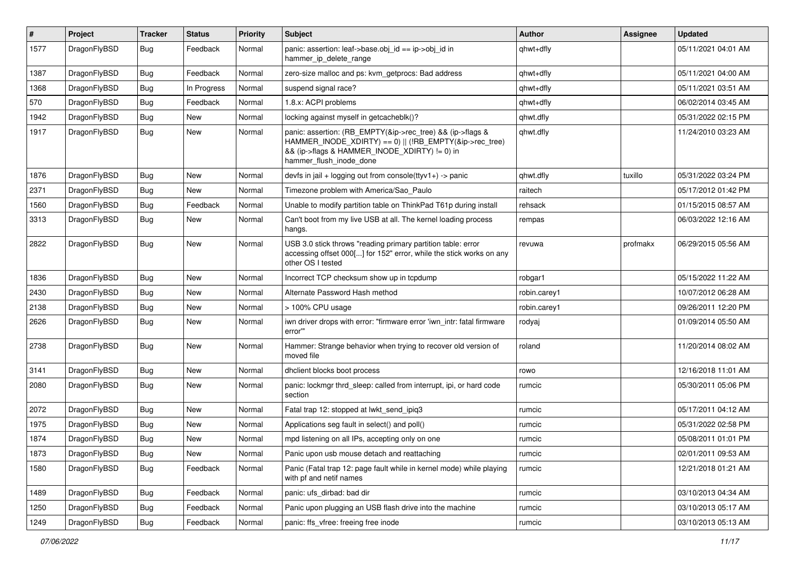| #    | Project      | <b>Tracker</b> | <b>Status</b> | <b>Priority</b> | Subject                                                                                                                                                                                           | <b>Author</b> | <b>Assignee</b> | <b>Updated</b>      |
|------|--------------|----------------|---------------|-----------------|---------------------------------------------------------------------------------------------------------------------------------------------------------------------------------------------------|---------------|-----------------|---------------------|
| 1577 | DragonFlyBSD | Bug            | Feedback      | Normal          | panic: assertion: leaf->base.obj_id == ip->obj_id in<br>hammer_ip_delete_range                                                                                                                    | qhwt+dfly     |                 | 05/11/2021 04:01 AM |
| 1387 | DragonFlyBSD | <b>Bug</b>     | Feedback      | Normal          | zero-size malloc and ps: kvm getprocs: Bad address                                                                                                                                                | qhwt+dfly     |                 | 05/11/2021 04:00 AM |
| 1368 | DragonFlyBSD | Bug            | In Progress   | Normal          | suspend signal race?                                                                                                                                                                              | qhwt+dfly     |                 | 05/11/2021 03:51 AM |
| 570  | DragonFlyBSD | <b>Bug</b>     | Feedback      | Normal          | 1.8.x: ACPI problems                                                                                                                                                                              | qhwt+dfly     |                 | 06/02/2014 03:45 AM |
| 1942 | DragonFlyBSD | <b>Bug</b>     | <b>New</b>    | Normal          | locking against myself in getcacheblk()?                                                                                                                                                          | qhwt.dfly     |                 | 05/31/2022 02:15 PM |
| 1917 | DragonFlyBSD | <b>Bug</b>     | New           | Normal          | panic: assertion: (RB_EMPTY(&ip->rec_tree) && (ip->flags &<br>HAMMER INODE XDIRTY) == 0)    (!RB EMPTY(&ip->rec tree)<br>&& (ip->flags & HAMMER_INODE_XDIRTY) != 0) in<br>hammer_flush_inode_done | qhwt.dfly     |                 | 11/24/2010 03:23 AM |
| 1876 | DragonFlyBSD | <b>Bug</b>     | <b>New</b>    | Normal          | devfs in $ ail + logging$ out from console(ttyv1+) -> panic                                                                                                                                       | qhwt.dfly     | tuxillo         | 05/31/2022 03:24 PM |
| 2371 | DragonFlyBSD | <b>Bug</b>     | New           | Normal          | Timezone problem with America/Sao Paulo                                                                                                                                                           | raitech       |                 | 05/17/2012 01:42 PM |
| 1560 | DragonFlyBSD | <b>Bug</b>     | Feedback      | Normal          | Unable to modify partition table on ThinkPad T61p during install                                                                                                                                  | rehsack       |                 | 01/15/2015 08:57 AM |
| 3313 | DragonFlyBSD | Bug            | New           | Normal          | Can't boot from my live USB at all. The kernel loading process<br>hangs.                                                                                                                          | rempas        |                 | 06/03/2022 12:16 AM |
| 2822 | DragonFlyBSD | <b>Bug</b>     | New           | Normal          | USB 3.0 stick throws "reading primary partition table: error<br>accessing offset 000[] for 152" error, while the stick works on any<br>other OS I tested                                          | revuwa        | profmakx        | 06/29/2015 05:56 AM |
| 1836 | DragonFlyBSD | Bug            | <b>New</b>    | Normal          | Incorrect TCP checksum show up in tcpdump                                                                                                                                                         | robgar1       |                 | 05/15/2022 11:22 AM |
| 2430 | DragonFlyBSD | <b>Bug</b>     | <b>New</b>    | Normal          | Alternate Password Hash method                                                                                                                                                                    | robin.carey1  |                 | 10/07/2012 06:28 AM |
| 2138 | DragonFlyBSD | <b>Bug</b>     | <b>New</b>    | Normal          | > 100% CPU usage                                                                                                                                                                                  | robin.carey1  |                 | 09/26/2011 12:20 PM |
| 2626 | DragonFlyBSD | <b>Bug</b>     | <b>New</b>    | Normal          | iwn driver drops with error: "firmware error 'iwn intr: fatal firmware<br>error""                                                                                                                 | rodyaj        |                 | 01/09/2014 05:50 AM |
| 2738 | DragonFlyBSD | Bug            | <b>New</b>    | Normal          | Hammer: Strange behavior when trying to recover old version of<br>moved file                                                                                                                      | roland        |                 | 11/20/2014 08:02 AM |
| 3141 | DragonFlyBSD | Bug            | <b>New</b>    | Normal          | dhclient blocks boot process                                                                                                                                                                      | rowo          |                 | 12/16/2018 11:01 AM |
| 2080 | DragonFlyBSD | <b>Bug</b>     | New           | Normal          | panic: lockmgr thrd_sleep: called from interrupt, ipi, or hard code<br>section                                                                                                                    | rumcic        |                 | 05/30/2011 05:06 PM |
| 2072 | DragonFlyBSD | Bug            | <b>New</b>    | Normal          | Fatal trap 12: stopped at lwkt_send_ipiq3                                                                                                                                                         | rumcic        |                 | 05/17/2011 04:12 AM |
| 1975 | DragonFlyBSD | <b>Bug</b>     | New           | Normal          | Applications seg fault in select() and poll()                                                                                                                                                     | rumcic        |                 | 05/31/2022 02:58 PM |
| 1874 | DragonFlyBSD | Bug            | New           | Normal          | mpd listening on all IPs, accepting only on one                                                                                                                                                   | rumcic        |                 | 05/08/2011 01:01 PM |
| 1873 | DragonFlyBSD | Bug            | New           | Normal          | Panic upon usb mouse detach and reattaching                                                                                                                                                       | rumcic        |                 | 02/01/2011 09:53 AM |
| 1580 | DragonFlyBSD | <b>Bug</b>     | Feedback      | Normal          | Panic (Fatal trap 12: page fault while in kernel mode) while playing<br>with pf and netif names                                                                                                   | rumcic        |                 | 12/21/2018 01:21 AM |
| 1489 | DragonFlyBSD | <b>Bug</b>     | Feedback      | Normal          | panic: ufs_dirbad: bad dir                                                                                                                                                                        | rumcic        |                 | 03/10/2013 04:34 AM |
| 1250 | DragonFlyBSD | <b>Bug</b>     | Feedback      | Normal          | Panic upon plugging an USB flash drive into the machine                                                                                                                                           | rumcic        |                 | 03/10/2013 05:17 AM |
| 1249 | DragonFlyBSD | <b>Bug</b>     | Feedback      | Normal          | panic: ffs_vfree: freeing free inode                                                                                                                                                              | rumcic        |                 | 03/10/2013 05:13 AM |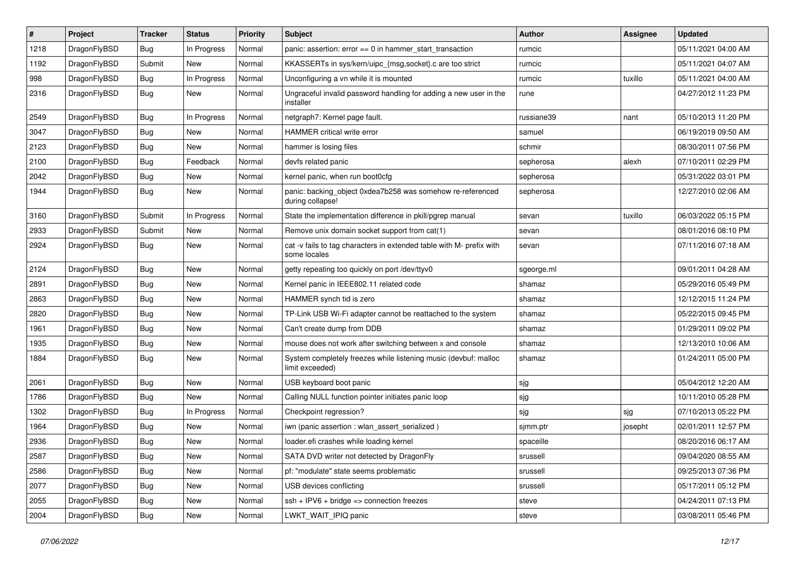| $\sharp$ | Project      | <b>Tracker</b> | <b>Status</b> | <b>Priority</b> | Subject                                                                              | <b>Author</b> | Assignee | <b>Updated</b>      |
|----------|--------------|----------------|---------------|-----------------|--------------------------------------------------------------------------------------|---------------|----------|---------------------|
| 1218     | DragonFlyBSD | <b>Bug</b>     | In Progress   | Normal          | panic: assertion: error == 0 in hammer_start_transaction                             | rumcic        |          | 05/11/2021 04:00 AM |
| 1192     | DragonFlyBSD | Submit         | <b>New</b>    | Normal          | KKASSERTs in sys/kern/uipc_{msg,socket}.c are too strict                             | rumcic        |          | 05/11/2021 04:07 AM |
| 998      | DragonFlyBSD | <b>Bug</b>     | In Progress   | Normal          | Unconfiguring a vn while it is mounted                                               | rumcic        | tuxillo  | 05/11/2021 04:00 AM |
| 2316     | DragonFlyBSD | Bug            | New           | Normal          | Ungraceful invalid password handling for adding a new user in the<br>installer       | rune          |          | 04/27/2012 11:23 PM |
| 2549     | DragonFlyBSD | Bug            | In Progress   | Normal          | netgraph7: Kernel page fault.                                                        | russiane39    | nant     | 05/10/2013 11:20 PM |
| 3047     | DragonFlyBSD | Bug            | <b>New</b>    | Normal          | HAMMER critical write error                                                          | samuel        |          | 06/19/2019 09:50 AM |
| 2123     | DragonFlyBSD | <b>Bug</b>     | New           | Normal          | hammer is losing files                                                               | schmir        |          | 08/30/2011 07:56 PM |
| 2100     | DragonFlyBSD | <b>Bug</b>     | Feedback      | Normal          | devfs related panic                                                                  | sepherosa     | alexh    | 07/10/2011 02:29 PM |
| 2042     | DragonFlyBSD | Bug            | New           | Normal          | kernel panic, when run boot0cfg                                                      | sepherosa     |          | 05/31/2022 03:01 PM |
| 1944     | DragonFlyBSD | <b>Bug</b>     | New           | Normal          | panic: backing_object 0xdea7b258 was somehow re-referenced<br>during collapse!       | sepherosa     |          | 12/27/2010 02:06 AM |
| 3160     | DragonFlyBSD | Submit         | In Progress   | Normal          | State the implementation difference in pkill/pgrep manual                            | sevan         | tuxillo  | 06/03/2022 05:15 PM |
| 2933     | DragonFlyBSD | Submit         | New           | Normal          | Remove unix domain socket support from cat(1)                                        | sevan         |          | 08/01/2016 08:10 PM |
| 2924     | DragonFlyBSD | <b>Bug</b>     | New           | Normal          | cat -v fails to tag characters in extended table with M- prefix with<br>some locales | sevan         |          | 07/11/2016 07:18 AM |
| 2124     | DragonFlyBSD | Bug            | <b>New</b>    | Normal          | getty repeating too quickly on port /dev/ttyv0                                       | sgeorge.ml    |          | 09/01/2011 04:28 AM |
| 2891     | DragonFlyBSD | Bug            | <b>New</b>    | Normal          | Kernel panic in IEEE802.11 related code                                              | shamaz        |          | 05/29/2016 05:49 PM |
| 2863     | DragonFlyBSD | <b>Bug</b>     | New           | Normal          | HAMMER synch tid is zero                                                             | shamaz        |          | 12/12/2015 11:24 PM |
| 2820     | DragonFlyBSD | Bug            | <b>New</b>    | Normal          | TP-Link USB Wi-Fi adapter cannot be reattached to the system                         | shamaz        |          | 05/22/2015 09:45 PM |
| 1961     | DragonFlyBSD | <b>Bug</b>     | <b>New</b>    | Normal          | Can't create dump from DDB                                                           | shamaz        |          | 01/29/2011 09:02 PM |
| 1935     | DragonFlyBSD | <b>Bug</b>     | New           | Normal          | mouse does not work after switching between x and console                            | shamaz        |          | 12/13/2010 10:06 AM |
| 1884     | DragonFlyBSD | Bug            | New           | Normal          | System completely freezes while listening music (devbuf: malloc<br>limit exceeded)   | shamaz        |          | 01/24/2011 05:00 PM |
| 2061     | DragonFlyBSD | <b>Bug</b>     | <b>New</b>    | Normal          | USB keyboard boot panic                                                              | sjg           |          | 05/04/2012 12:20 AM |
| 1786     | DragonFlyBSD | Bug            | <b>New</b>    | Normal          | Calling NULL function pointer initiates panic loop                                   | sjg           |          | 10/11/2010 05:28 PM |
| 1302     | DragonFlyBSD | <b>Bug</b>     | In Progress   | Normal          | Checkpoint regression?                                                               | sjg           | sjg      | 07/10/2013 05:22 PM |
| 1964     | DragonFlyBSD | <b>Bug</b>     | New           | Normal          | iwn (panic assertion : wlan assert serialized)                                       | sjmm.ptr      | josepht  | 02/01/2011 12:57 PM |
| 2936     | DragonFlyBSD | Bug            | New           | Normal          | loader.efi crashes while loading kernel                                              | spaceille     |          | 08/20/2016 06:17 AM |
| 2587     | DragonFlyBSD | <b>Bug</b>     | New           | Normal          | SATA DVD writer not detected by DragonFly                                            | srussell      |          | 09/04/2020 08:55 AM |
| 2586     | DragonFlyBSD | <b>Bug</b>     | <b>New</b>    | Normal          | pf: "modulate" state seems problematic                                               | srussell      |          | 09/25/2013 07:36 PM |
| 2077     | DragonFlyBSD | <b>Bug</b>     | New           | Normal          | USB devices conflicting                                                              | srussell      |          | 05/17/2011 05:12 PM |
| 2055     | DragonFlyBSD | <b>Bug</b>     | New           | Normal          | ssh + IPV6 + bridge => connection freezes                                            | steve         |          | 04/24/2011 07:13 PM |
| 2004     | DragonFlyBSD | <b>Bug</b>     | New           | Normal          | LWKT_WAIT_IPIQ panic                                                                 | steve         |          | 03/08/2011 05:46 PM |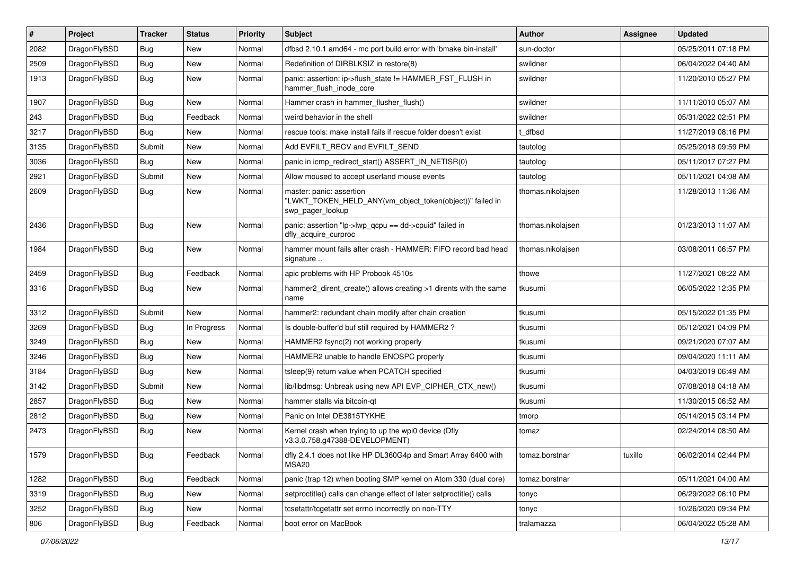| $\sharp$ | Project      | <b>Tracker</b> | <b>Status</b> | <b>Priority</b> | Subject                                                                                                  | Author            | Assignee | <b>Updated</b>      |
|----------|--------------|----------------|---------------|-----------------|----------------------------------------------------------------------------------------------------------|-------------------|----------|---------------------|
| 2082     | DragonFlyBSD | <b>Bug</b>     | <b>New</b>    | Normal          | dfbsd 2.10.1 amd64 - mc port build error with 'bmake bin-install'                                        | sun-doctor        |          | 05/25/2011 07:18 PM |
| 2509     | DragonFlyBSD | <b>Bug</b>     | <b>New</b>    | Normal          | Redefinition of DIRBLKSIZ in restore(8)                                                                  | swildner          |          | 06/04/2022 04:40 AM |
| 1913     | DragonFlyBSD | <b>Bug</b>     | <b>New</b>    | Normal          | panic: assertion: ip->flush_state != HAMMER_FST_FLUSH in<br>hammer_flush_inode_core                      | swildner          |          | 11/20/2010 05:27 PM |
| 1907     | DragonFlyBSD | Bug            | <b>New</b>    | Normal          | Hammer crash in hammer_flusher_flush()                                                                   | swildner          |          | 11/11/2010 05:07 AM |
| 243      | DragonFlyBSD | <b>Bug</b>     | Feedback      | Normal          | weird behavior in the shell                                                                              | swildner          |          | 05/31/2022 02:51 PM |
| 3217     | DragonFlyBSD | <b>Bug</b>     | <b>New</b>    | Normal          | rescue tools: make install fails if rescue folder doesn't exist                                          | t dfbsd           |          | 11/27/2019 08:16 PM |
| 3135     | DragonFlyBSD | Submit         | New           | Normal          | Add EVFILT_RECV and EVFILT_SEND                                                                          | tautolog          |          | 05/25/2018 09:59 PM |
| 3036     | DragonFlyBSD | Bug            | <b>New</b>    | Normal          | panic in icmp_redirect_start() ASSERT_IN_NETISR(0)                                                       | tautolog          |          | 05/11/2017 07:27 PM |
| 2921     | DragonFlyBSD | Submit         | <b>New</b>    | Normal          | Allow moused to accept userland mouse events                                                             | tautolog          |          | 05/11/2021 04:08 AM |
| 2609     | DragonFlyBSD | Bug            | <b>New</b>    | Normal          | master: panic: assertion<br>"LWKT_TOKEN_HELD_ANY(vm_object_token(object))" failed in<br>swp_pager_lookup | thomas.nikolajsen |          | 11/28/2013 11:36 AM |
| 2436     | DragonFlyBSD | <b>Bug</b>     | <b>New</b>    | Normal          | panic: assertion "lp->lwp_qcpu == dd->cpuid" failed in<br>dfly_acquire_curproc                           | thomas.nikolajsen |          | 01/23/2013 11:07 AM |
| 1984     | DragonFlyBSD | <b>Bug</b>     | New           | Normal          | hammer mount fails after crash - HAMMER: FIFO record bad head<br>signature                               | thomas.nikolajsen |          | 03/08/2011 06:57 PM |
| 2459     | DragonFlyBSD | <b>Bug</b>     | Feedback      | Normal          | apic problems with HP Probook 4510s                                                                      | thowe             |          | 11/27/2021 08:22 AM |
| 3316     | DragonFlyBSD | Bug            | <b>New</b>    | Normal          | hammer2 dirent create() allows creating >1 dirents with the same<br>name                                 | tkusumi           |          | 06/05/2022 12:35 PM |
| 3312     | DragonFlyBSD | Submit         | New           | Normal          | hammer2: redundant chain modify after chain creation                                                     | tkusumi           |          | 05/15/2022 01:35 PM |
| 3269     | DragonFlyBSD | <b>Bug</b>     | In Progress   | Normal          | Is double-buffer'd buf still required by HAMMER2?                                                        | tkusumi           |          | 05/12/2021 04:09 PM |
| 3249     | DragonFlyBSD | <b>Bug</b>     | <b>New</b>    | Normal          | HAMMER2 fsync(2) not working properly                                                                    | tkusumi           |          | 09/21/2020 07:07 AM |
| 3246     | DragonFlyBSD | <b>Bug</b>     | <b>New</b>    | Normal          | HAMMER2 unable to handle ENOSPC properly                                                                 | tkusumi           |          | 09/04/2020 11:11 AM |
| 3184     | DragonFlyBSD | Bug            | <b>New</b>    | Normal          | tsleep(9) return value when PCATCH specified                                                             | tkusumi           |          | 04/03/2019 06:49 AM |
| 3142     | DragonFlyBSD | Submit         | <b>New</b>    | Normal          | lib/libdmsg: Unbreak using new API EVP_CIPHER_CTX_new()                                                  | tkusumi           |          | 07/08/2018 04:18 AM |
| 2857     | DragonFlyBSD | Bug            | New           | Normal          | hammer stalls via bitcoin-qt                                                                             | tkusumi           |          | 11/30/2015 06:52 AM |
| 2812     | DragonFlyBSD | <b>Bug</b>     | New           | Normal          | Panic on Intel DE3815TYKHE                                                                               | tmorp             |          | 05/14/2015 03:14 PM |
| 2473     | DragonFlyBSD | <b>Bug</b>     | <b>New</b>    | Normal          | Kernel crash when trying to up the wpi0 device (Dfly<br>v3.3.0.758.g47388-DEVELOPMENT)                   | tomaz             |          | 02/24/2014 08:50 AM |
| 1579     | DragonFlyBSD | Bug            | Feedback      | Normal          | dfly 2.4.1 does not like HP DL360G4p and Smart Array 6400 with<br>MSA <sub>20</sub>                      | tomaz.borstnar    | tuxillo  | 06/02/2014 02:44 PM |
| 1282     | DragonFlyBSD | <b>Bug</b>     | Feedback      | Normal          | panic (trap 12) when booting SMP kernel on Atom 330 (dual core)                                          | tomaz.borstnar    |          | 05/11/2021 04:00 AM |
| 3319     | DragonFlyBSD | <b>Bug</b>     | New           | Normal          | setproctitle() calls can change effect of later setproctitle() calls                                     | tonyc             |          | 06/29/2022 06:10 PM |
| 3252     | DragonFlyBSD | <b>Bug</b>     | New           | Normal          | tcsetattr/tcgetattr set errno incorrectly on non-TTY                                                     | tonyc             |          | 10/26/2020 09:34 PM |
| 806      | DragonFlyBSD | Bug            | Feedback      | Normal          | boot error on MacBook                                                                                    | tralamazza        |          | 06/04/2022 05:28 AM |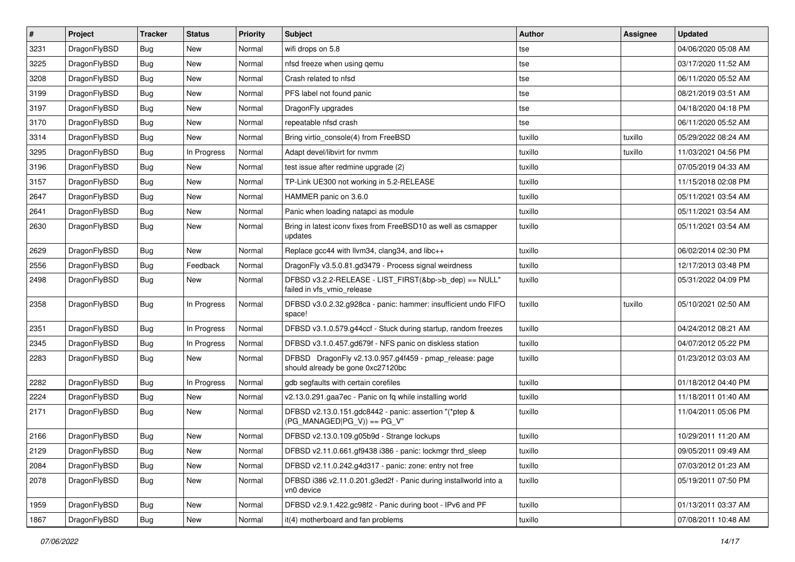| $\pmb{\#}$ | Project      | <b>Tracker</b> | <b>Status</b> | <b>Priority</b> | Subject                                                                                      | <b>Author</b> | Assignee | <b>Updated</b>      |
|------------|--------------|----------------|---------------|-----------------|----------------------------------------------------------------------------------------------|---------------|----------|---------------------|
| 3231       | DragonFlyBSD | Bug            | <b>New</b>    | Normal          | wifi drops on 5.8                                                                            | tse           |          | 04/06/2020 05:08 AM |
| 3225       | DragonFlyBSD | Bug            | <b>New</b>    | Normal          | nfsd freeze when using qemu                                                                  | tse           |          | 03/17/2020 11:52 AM |
| 3208       | DragonFlyBSD | Bug            | New           | Normal          | Crash related to nfsd                                                                        | tse           |          | 06/11/2020 05:52 AM |
| 3199       | DragonFlyBSD | Bug            | New           | Normal          | PFS label not found panic                                                                    | tse           |          | 08/21/2019 03:51 AM |
| 3197       | DragonFlyBSD | <b>Bug</b>     | <b>New</b>    | Normal          | DragonFly upgrades                                                                           | tse           |          | 04/18/2020 04:18 PM |
| 3170       | DragonFlyBSD | <b>Bug</b>     | New           | Normal          | repeatable nfsd crash                                                                        | tse           |          | 06/11/2020 05:52 AM |
| 3314       | DragonFlyBSD | Bug            | <b>New</b>    | Normal          | Bring virtio_console(4) from FreeBSD                                                         | tuxillo       | tuxillo  | 05/29/2022 08:24 AM |
| 3295       | DragonFlyBSD | Bug            | In Progress   | Normal          | Adapt devel/libvirt for nvmm                                                                 | tuxillo       | tuxillo  | 11/03/2021 04:56 PM |
| 3196       | DragonFlyBSD | Bug            | New           | Normal          | test issue after redmine upgrade (2)                                                         | tuxillo       |          | 07/05/2019 04:33 AM |
| 3157       | DragonFlyBSD | Bug            | <b>New</b>    | Normal          | TP-Link UE300 not working in 5.2-RELEASE                                                     | tuxillo       |          | 11/15/2018 02:08 PM |
| 2647       | DragonFlyBSD | <b>Bug</b>     | New           | Normal          | HAMMER panic on 3.6.0                                                                        | tuxillo       |          | 05/11/2021 03:54 AM |
| 2641       | DragonFlyBSD | Bug            | New           | Normal          | Panic when loading natapci as module                                                         | tuxillo       |          | 05/11/2021 03:54 AM |
| 2630       | DragonFlyBSD | Bug            | New           | Normal          | Bring in latest iconv fixes from FreeBSD10 as well as csmapper<br>updates                    | tuxillo       |          | 05/11/2021 03:54 AM |
| 2629       | DragonFlyBSD | Bug            | New           | Normal          | Replace gcc44 with llvm34, clang34, and libc++                                               | tuxillo       |          | 06/02/2014 02:30 PM |
| 2556       | DragonFlyBSD | <b>Bug</b>     | Feedback      | Normal          | DragonFly v3.5.0.81.gd3479 - Process signal weirdness                                        | tuxillo       |          | 12/17/2013 03:48 PM |
| 2498       | DragonFlyBSD | Bug            | New           | Normal          | DFBSD v3.2.2-RELEASE - LIST_FIRST(&bp->b_dep) == NULL"<br>failed in vfs_vmio_release         | tuxillo       |          | 05/31/2022 04:09 PM |
| 2358       | DragonFlyBSD | <b>Bug</b>     | In Progress   | Normal          | DFBSD v3.0.2.32.g928ca - panic: hammer: insufficient undo FIFO<br>space!                     | tuxillo       | tuxillo  | 05/10/2021 02:50 AM |
| 2351       | DragonFlyBSD | <b>Bug</b>     | In Progress   | Normal          | DFBSD v3.1.0.579.g44ccf - Stuck during startup, random freezes                               | tuxillo       |          | 04/24/2012 08:21 AM |
| 2345       | DragonFlyBSD | Bug            | In Progress   | Normal          | DFBSD v3.1.0.457.gd679f - NFS panic on diskless station                                      | tuxillo       |          | 04/07/2012 05:22 PM |
| 2283       | DragonFlyBSD | Bug            | New           | Normal          | DFBSD DragonFly v2.13.0.957.g4f459 - pmap_release: page<br>should already be gone 0xc27120bc | tuxillo       |          | 01/23/2012 03:03 AM |
| 2282       | DragonFlyBSD | Bug            | In Progress   | Normal          | gdb segfaults with certain corefiles                                                         | tuxillo       |          | 01/18/2012 04:40 PM |
| 2224       | DragonFlyBSD | <b>Bug</b>     | <b>New</b>    | Normal          | v2.13.0.291.gaa7ec - Panic on fq while installing world                                      | tuxillo       |          | 11/18/2011 01:40 AM |
| 2171       | DragonFlyBSD | Bug            | New           | Normal          | DFBSD v2.13.0.151.gdc8442 - panic: assertion "(*ptep &<br>$(PG_MANAGED PG_V)) == PG_V"$      | tuxillo       |          | 11/04/2011 05:06 PM |
| 2166       | DragonFlyBSD | <b>Bug</b>     | <b>New</b>    | Normal          | DFBSD v2.13.0.109.g05b9d - Strange lockups                                                   | tuxillo       |          | 10/29/2011 11:20 AM |
| 2129       | DragonFlyBSD | <b>Bug</b>     | New           | Normal          | DFBSD v2.11.0.661.gf9438 i386 - panic: lockmgr thrd_sleep                                    | tuxillo       |          | 09/05/2011 09:49 AM |
| 2084       | DragonFlyBSD | Bug            | New           | Normal          | DFBSD v2.11.0.242.g4d317 - panic: zone: entry not free                                       | tuxillo       |          | 07/03/2012 01:23 AM |
| 2078       | DragonFlyBSD | <b>Bug</b>     | New           | Normal          | DFBSD i386 v2.11.0.201.g3ed2f - Panic during installworld into a<br>vn0 device               | tuxillo       |          | 05/19/2011 07:50 PM |
| 1959       | DragonFlyBSD | <b>Bug</b>     | New           | Normal          | DFBSD v2.9.1.422.gc98f2 - Panic during boot - IPv6 and PF                                    | tuxillo       |          | 01/13/2011 03:37 AM |
| 1867       | DragonFlyBSD | Bug            | New           | Normal          | it(4) motherboard and fan problems                                                           | tuxillo       |          | 07/08/2011 10:48 AM |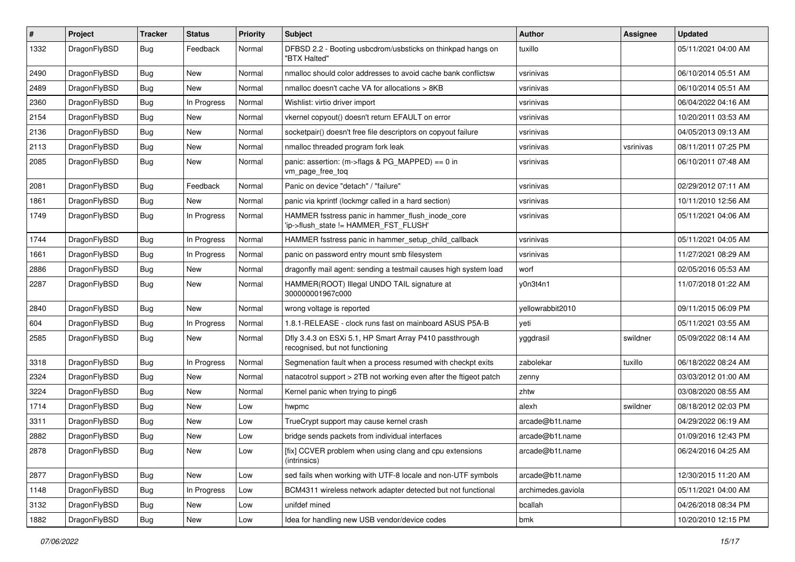| #    | Project      | <b>Tracker</b> | <b>Status</b> | <b>Priority</b> | <b>Subject</b>                                                                             | Author             | Assignee  | <b>Updated</b>      |
|------|--------------|----------------|---------------|-----------------|--------------------------------------------------------------------------------------------|--------------------|-----------|---------------------|
| 1332 | DragonFlyBSD | Bug            | Feedback      | Normal          | DFBSD 2.2 - Booting usbcdrom/usbsticks on thinkpad hangs on<br>"BTX Halted"                | tuxillo            |           | 05/11/2021 04:00 AM |
| 2490 | DragonFlyBSD | Bug            | <b>New</b>    | Normal          | nmalloc should color addresses to avoid cache bank conflictsw                              | vsrinivas          |           | 06/10/2014 05:51 AM |
| 2489 | DragonFlyBSD | <b>Bug</b>     | New           | Normal          | nmalloc doesn't cache VA for allocations > 8KB                                             | vsrinivas          |           | 06/10/2014 05:51 AM |
| 2360 | DragonFlyBSD | Bug            | In Progress   | Normal          | Wishlist: virtio driver import                                                             | vsrinivas          |           | 06/04/2022 04:16 AM |
| 2154 | DragonFlyBSD | <b>Bug</b>     | New           | Normal          | vkernel copyout() doesn't return EFAULT on error                                           | vsrinivas          |           | 10/20/2011 03:53 AM |
| 2136 | DragonFlyBSD | <b>Bug</b>     | <b>New</b>    | Normal          | socketpair() doesn't free file descriptors on copyout failure                              | vsrinivas          |           | 04/05/2013 09:13 AM |
| 2113 | DragonFlyBSD | <b>Bug</b>     | New           | Normal          | nmalloc threaded program fork leak                                                         | vsrinivas          | vsrinivas | 08/11/2011 07:25 PM |
| 2085 | DragonFlyBSD | Bug            | New           | Normal          | panic: assertion: (m->flags & PG_MAPPED) == 0 in<br>vm_page_free_toq                       | vsrinivas          |           | 06/10/2011 07:48 AM |
| 2081 | DragonFlyBSD | Bug            | Feedback      | Normal          | Panic on device "detach" / "failure"                                                       | vsrinivas          |           | 02/29/2012 07:11 AM |
| 1861 | DragonFlyBSD | <b>Bug</b>     | New           | Normal          | panic via kprintf (lockmgr called in a hard section)                                       | vsrinivas          |           | 10/11/2010 12:56 AM |
| 1749 | DragonFlyBSD | <b>Bug</b>     | In Progress   | Normal          | HAMMER fsstress panic in hammer_flush_inode_core<br>'ip->flush_state != HAMMER_FST_FLUSH'  | vsrinivas          |           | 05/11/2021 04:06 AM |
| 1744 | DragonFlyBSD | <b>Bug</b>     | In Progress   | Normal          | HAMMER fsstress panic in hammer_setup_child_callback                                       | vsrinivas          |           | 05/11/2021 04:05 AM |
| 1661 | DragonFlyBSD | <b>Bug</b>     | In Progress   | Normal          | panic on password entry mount smb filesystem                                               | vsrinivas          |           | 11/27/2021 08:29 AM |
| 2886 | DragonFlyBSD | <b>Bug</b>     | <b>New</b>    | Normal          | dragonfly mail agent: sending a testmail causes high system load                           | worf               |           | 02/05/2016 05:53 AM |
| 2287 | DragonFlyBSD | <b>Bug</b>     | New           | Normal          | HAMMER(ROOT) Illegal UNDO TAIL signature at<br>300000001967c000                            | y0n3t4n1           |           | 11/07/2018 01:22 AM |
| 2840 | DragonFlyBSD | <b>Bug</b>     | New           | Normal          | wrong voltage is reported                                                                  | yellowrabbit2010   |           | 09/11/2015 06:09 PM |
| 604  | DragonFlyBSD | <b>Bug</b>     | In Progress   | Normal          | 1.8.1-RELEASE - clock runs fast on mainboard ASUS P5A-B                                    | yeti               |           | 05/11/2021 03:55 AM |
| 2585 | DragonFlyBSD | <b>Bug</b>     | New           | Normal          | Dfly 3.4.3 on ESXi 5.1, HP Smart Array P410 passthrough<br>recognised, but not functioning | yggdrasil          | swildner  | 05/09/2022 08:14 AM |
| 3318 | DragonFlyBSD | <b>Bug</b>     | In Progress   | Normal          | Segmenation fault when a process resumed with checkpt exits                                | zabolekar          | tuxillo   | 06/18/2022 08:24 AM |
| 2324 | DragonFlyBSD | <b>Bug</b>     | <b>New</b>    | Normal          | natacotrol support > 2TB not working even after the ftigeot patch                          | zenny              |           | 03/03/2012 01:00 AM |
| 3224 | DragonFlyBSD | <b>Bug</b>     | <b>New</b>    | Normal          | Kernel panic when trying to ping6                                                          | zhtw               |           | 03/08/2020 08:55 AM |
| 1714 | DragonFlyBSD | Bug            | New           | Low             | hwpmc                                                                                      | alexh              | swildner  | 08/18/2012 02:03 PM |
| 3311 | DragonFlyBSD | <b>Bug</b>     | New           | Low             | TrueCrypt support may cause kernel crash                                                   | arcade@b1t.name    |           | 04/29/2022 06:19 AM |
| 2882 | DragonFlyBSD | <b>Bug</b>     | New           | Low             | bridge sends packets from individual interfaces                                            | arcade@b1t.name    |           | 01/09/2016 12:43 PM |
| 2878 | DragonFlyBSD | <b>Bug</b>     | New           | Low             | [fix] CCVER problem when using clang and cpu extensions<br>(intrinsics)                    | arcade@b1t.name    |           | 06/24/2016 04:25 AM |
| 2877 | DragonFlyBSD | <b>Bug</b>     | New           | Low             | sed fails when working with UTF-8 locale and non-UTF symbols                               | arcade@b1t.name    |           | 12/30/2015 11:20 AM |
| 1148 | DragonFlyBSD | <b>Bug</b>     | In Progress   | Low             | BCM4311 wireless network adapter detected but not functional                               | archimedes.gaviola |           | 05/11/2021 04:00 AM |
| 3132 | DragonFlyBSD | <b>Bug</b>     | New           | Low             | unifdef mined                                                                              | bcallah            |           | 04/26/2018 08:34 PM |
| 1882 | DragonFlyBSD | <b>Bug</b>     | New           | Low             | Idea for handling new USB vendor/device codes                                              | bmk                |           | 10/20/2010 12:15 PM |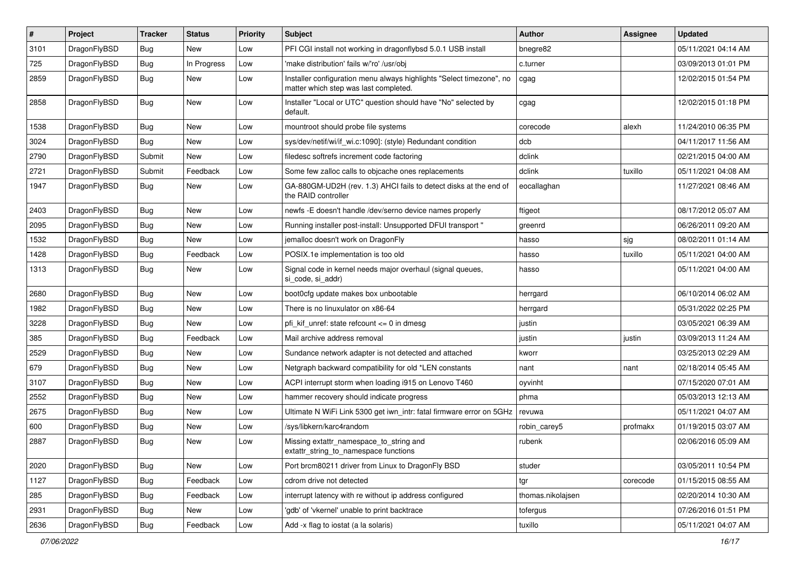| $\sharp$ | Project      | <b>Tracker</b> | <b>Status</b> | <b>Priority</b> | Subject                                                                                                       | <b>Author</b>     | Assignee | <b>Updated</b>      |
|----------|--------------|----------------|---------------|-----------------|---------------------------------------------------------------------------------------------------------------|-------------------|----------|---------------------|
| 3101     | DragonFlyBSD | Bug            | New           | Low             | PFI CGI install not working in dragonflybsd 5.0.1 USB install                                                 | bnegre82          |          | 05/11/2021 04:14 AM |
| 725      | DragonFlyBSD | Bug            | In Progress   | Low             | 'make distribution' fails w/'ro' /usr/obj                                                                     | c.turner          |          | 03/09/2013 01:01 PM |
| 2859     | DragonFlyBSD | Bug            | New           | Low             | Installer configuration menu always highlights "Select timezone", no<br>matter which step was last completed. | cgag              |          | 12/02/2015 01:54 PM |
| 2858     | DragonFlyBSD | <b>Bug</b>     | New           | Low             | Installer "Local or UTC" question should have "No" selected by<br>default.                                    | cgag              |          | 12/02/2015 01:18 PM |
| 1538     | DragonFlyBSD | Bug            | New           | Low             | mountroot should probe file systems                                                                           | corecode          | alexh    | 11/24/2010 06:35 PM |
| 3024     | DragonFlyBSD | Bug            | New           | Low             | sys/dev/netif/wi/if_wi.c:1090]: (style) Redundant condition                                                   | dcb               |          | 04/11/2017 11:56 AM |
| 2790     | DragonFlyBSD | Submit         | New           | Low             | filedesc softrefs increment code factoring                                                                    | dclink            |          | 02/21/2015 04:00 AM |
| 2721     | DragonFlyBSD | Submit         | Feedback      | Low             | Some few zalloc calls to objcache ones replacements                                                           | dclink            | tuxillo  | 05/11/2021 04:08 AM |
| 1947     | DragonFlyBSD | Bug            | New           | Low             | GA-880GM-UD2H (rev. 1.3) AHCI fails to detect disks at the end of<br>the RAID controller                      | eocallaghan       |          | 11/27/2021 08:46 AM |
| 2403     | DragonFlyBSD | Bug            | <b>New</b>    | Low             | newfs -E doesn't handle /dev/serno device names properly                                                      | ftigeot           |          | 08/17/2012 05:07 AM |
| 2095     | DragonFlyBSD | Bug            | New           | Low             | Running installer post-install: Unsupported DFUI transport "                                                  | greenrd           |          | 06/26/2011 09:20 AM |
| 1532     | DragonFlyBSD | Bug            | New           | Low             | jemalloc doesn't work on DragonFly                                                                            | hasso             | sjg      | 08/02/2011 01:14 AM |
| 1428     | DragonFlyBSD | Bug            | Feedback      | Low             | POSIX.1e implementation is too old                                                                            | hasso             | tuxillo  | 05/11/2021 04:00 AM |
| 1313     | DragonFlyBSD | <b>Bug</b>     | New           | Low             | Signal code in kernel needs major overhaul (signal queues,<br>si code, si addr)                               | hasso             |          | 05/11/2021 04:00 AM |
| 2680     | DragonFlyBSD | <b>Bug</b>     | <b>New</b>    | Low             | boot0cfg update makes box unbootable                                                                          | herrgard          |          | 06/10/2014 06:02 AM |
| 1982     | DragonFlyBSD | <b>Bug</b>     | New           | Low             | There is no linuxulator on x86-64                                                                             | herrgard          |          | 05/31/2022 02:25 PM |
| 3228     | DragonFlyBSD | Bug            | <b>New</b>    | Low             | pfi kif unref: state refcount $\leq$ 0 in dmesg                                                               | justin            |          | 03/05/2021 06:39 AM |
| 385      | DragonFlyBSD | <b>Bug</b>     | Feedback      | Low             | Mail archive address removal                                                                                  | justin            | justin   | 03/09/2013 11:24 AM |
| 2529     | DragonFlyBSD | <b>Bug</b>     | <b>New</b>    | Low             | Sundance network adapter is not detected and attached                                                         | kworr             |          | 03/25/2013 02:29 AM |
| 679      | DragonFlyBSD | <b>Bug</b>     | <b>New</b>    | Low             | Netgraph backward compatibility for old *LEN constants                                                        | nant              | nant     | 02/18/2014 05:45 AM |
| 3107     | DragonFlyBSD | <b>Bug</b>     | New           | Low             | ACPI interrupt storm when loading i915 on Lenovo T460                                                         | oyvinht           |          | 07/15/2020 07:01 AM |
| 2552     | DragonFlyBSD | Bug            | <b>New</b>    | Low             | hammer recovery should indicate progress                                                                      | phma              |          | 05/03/2013 12:13 AM |
| 2675     | DragonFlyBSD | <b>Bug</b>     | New           | Low             | Ultimate N WiFi Link 5300 get iwn intr: fatal firmware error on 5GHz                                          | revuwa            |          | 05/11/2021 04:07 AM |
| 600      | DragonFlyBSD | <b>Bug</b>     | <b>New</b>    | Low             | /sys/libkern/karc4random                                                                                      | robin_carey5      | profmakx | 01/19/2015 03:07 AM |
| 2887     | DragonFlyBSD | Bug            | <b>New</b>    | Low             | Missing extattr_namespace_to_string and<br>extattr string to namespace functions                              | rubenk            |          | 02/06/2016 05:09 AM |
| 2020     | DragonFlyBSD | <b>Bug</b>     | New           | Low             | Port brcm80211 driver from Linux to DragonFly BSD                                                             | studer            |          | 03/05/2011 10:54 PM |
| 1127     | DragonFlyBSD | <b>Bug</b>     | Feedback      | Low             | cdrom drive not detected                                                                                      | tgr               | corecode | 01/15/2015 08:55 AM |
| 285      | DragonFlyBSD | <b>Bug</b>     | Feedback      | Low             | interrupt latency with re without ip address configured                                                       | thomas.nikolajsen |          | 02/20/2014 10:30 AM |
| 2931     | DragonFlyBSD | <b>Bug</b>     | New           | Low             | 'gdb' of 'vkernel' unable to print backtrace                                                                  | tofergus          |          | 07/26/2016 01:51 PM |
| 2636     | DragonFlyBSD | <b>Bug</b>     | Feedback      | Low             | Add -x flag to iostat (a la solaris)                                                                          | tuxillo           |          | 05/11/2021 04:07 AM |